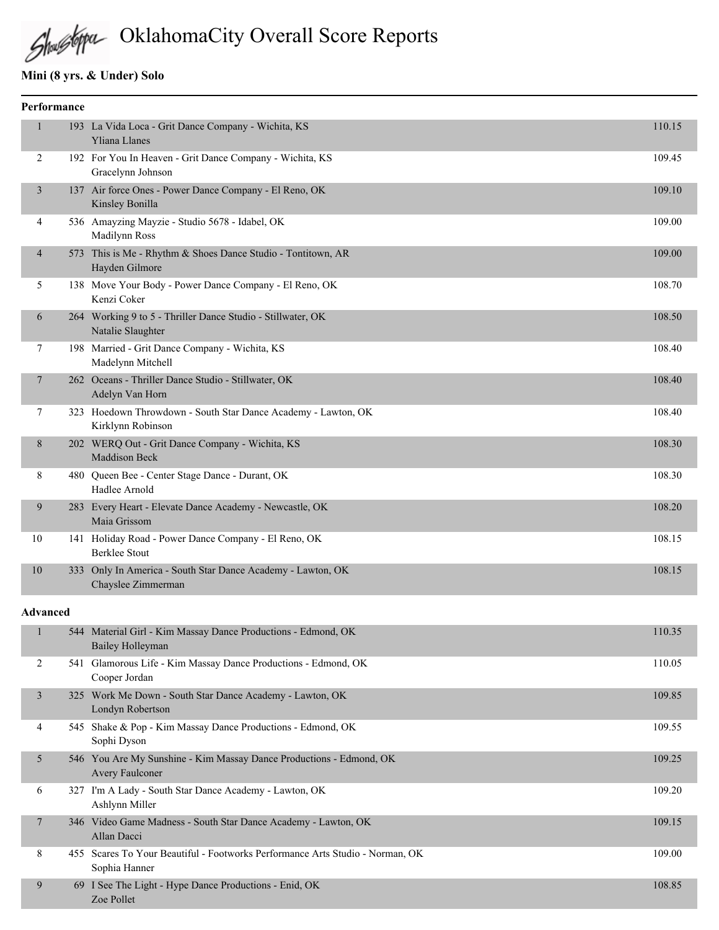# OklahomaCity Overall Score Reports

### **Mini (8 yrs. & Under) Solo**

Zoe Pollet

|                 | Performance |                                                                                                |        |
|-----------------|-------------|------------------------------------------------------------------------------------------------|--------|
| 1               |             | 193 La Vida Loca - Grit Dance Company - Wichita, KS<br><b>Yliana Llanes</b>                    | 110.15 |
| 2               |             | 192 For You In Heaven - Grit Dance Company - Wichita, KS<br>Gracelynn Johnson                  | 109.45 |
| 3               |             | 137 Air force Ones - Power Dance Company - El Reno, OK<br>Kinsley Bonilla                      | 109.10 |
| 4               |             | 536 Amayzing Mayzie - Studio 5678 - Idabel, OK<br>Madilynn Ross                                | 109.00 |
| 4               |             | 573 This is Me - Rhythm & Shoes Dance Studio - Tontitown, AR<br>Hayden Gilmore                 | 109.00 |
| 5               |             | 138 Move Your Body - Power Dance Company - El Reno, OK<br>Kenzi Coker                          | 108.70 |
| 6               |             | 264 Working 9 to 5 - Thriller Dance Studio - Stillwater, OK<br>Natalie Slaughter               | 108.50 |
| 7               |             | 198 Married - Grit Dance Company - Wichita, KS<br>Madelynn Mitchell                            | 108.40 |
| 7               |             | 262 Oceans - Thriller Dance Studio - Stillwater, OK<br>Adelyn Van Horn                         | 108.40 |
| 7               |             | 323 Hoedown Throwdown - South Star Dance Academy - Lawton, OK<br>Kirklynn Robinson             | 108.40 |
| 8               |             | 202 WERQ Out - Grit Dance Company - Wichita, KS<br>Maddison Beck                               | 108.30 |
| 8               |             | 480 Queen Bee - Center Stage Dance - Durant, OK<br>Hadlee Arnold                               | 108.30 |
| 9               |             | 283 Every Heart - Elevate Dance Academy - Newcastle, OK<br>Maia Grissom                        | 108.20 |
| 10              |             | 141 Holiday Road - Power Dance Company - El Reno, OK<br><b>Berklee Stout</b>                   | 108.15 |
| 10              |             | 333 Only In America - South Star Dance Academy - Lawton, OK<br>Chayslee Zimmerman              | 108.15 |
| <b>Advanced</b> |             |                                                                                                |        |
| 1               |             | 544 Material Girl - Kim Massay Dance Productions - Edmond, OK<br>Bailey Holleyman              | 110.35 |
| 2               |             | 541 Glamorous Life - Kim Massay Dance Productions - Edmond, OK<br>Cooper Jordan                | 110.05 |
| 3               |             | 325 Work Me Down - South Star Dance Academy - Lawton, OK<br>Londyn Robertson                   | 109.85 |
| 4               |             | 545 Shake & Pop - Kim Massay Dance Productions - Edmond, OK<br>Sophi Dyson                     | 109.55 |
| 5               |             | 546 You Are My Sunshine - Kim Massay Dance Productions - Edmond, OK<br>Avery Faulconer         | 109.25 |
| 6               |             | 327 I'm A Lady - South Star Dance Academy - Lawton, OK<br>Ashlynn Miller                       | 109.20 |
| 7               |             | 346 Video Game Madness - South Star Dance Academy - Lawton, OK<br>Allan Dacci                  | 109.15 |
| 8               |             | 455 Scares To Your Beautiful - Footworks Performance Arts Studio - Norman, OK<br>Sophia Hanner | 109.00 |
| 9               |             | 69 I See The Light - Hype Dance Productions - Enid, OK                                         | 108.85 |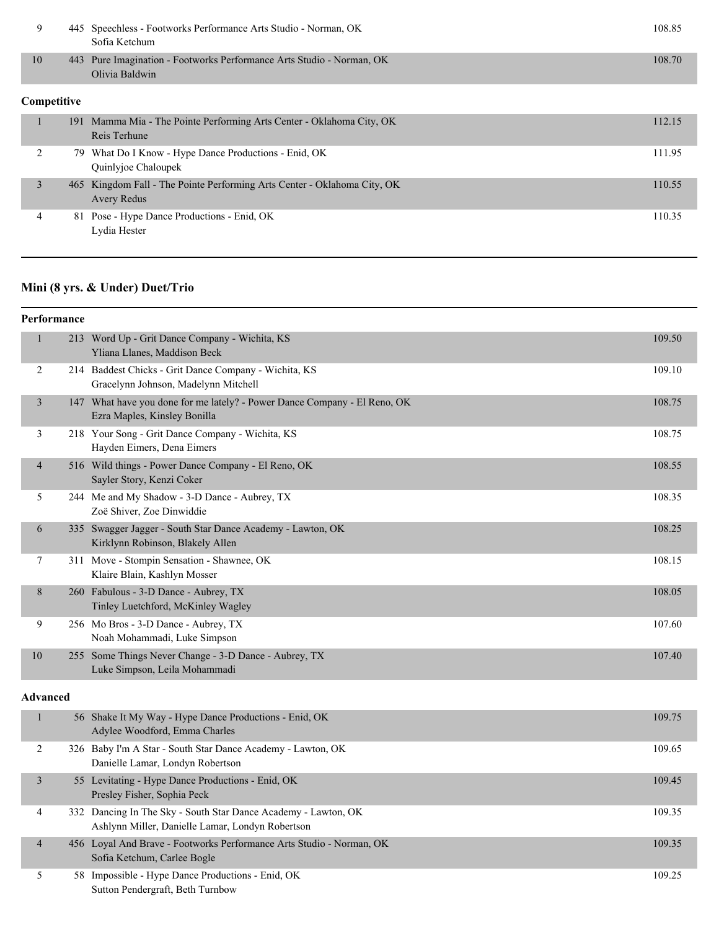| 9           |     | 445 Speechless - Footworks Performance Arts Studio - Norman, OK<br>Sofia Ketchum               | 108.85 |
|-------------|-----|------------------------------------------------------------------------------------------------|--------|
| 10          | 443 | Pure Imagination - Footworks Performance Arts Studio - Norman, OK<br>Olivia Baldwin            | 108.70 |
| Competitive |     |                                                                                                |        |
|             |     | 191 Mamma Mia - The Pointe Performing Arts Center - Oklahoma City, OK<br>Reis Terhune          | 112.15 |
| 2           |     | 79 What Do I Know - Hype Dance Productions - Enid, OK<br>Quinlyjoe Chaloupek                   | 111.95 |
| 3           |     | 465 Kingdom Fall - The Pointe Performing Arts Center - Oklahoma City, OK<br><b>Avery Redus</b> | 110.55 |
| 4           |     | 81 Pose - Hype Dance Productions - Enid, OK<br>Lydia Hester                                    | 110.35 |

# **Mini (8 yrs. & Under) Duet/Trio**

|                 | Performance |                                                                                                           |        |
|-----------------|-------------|-----------------------------------------------------------------------------------------------------------|--------|
| $\mathbf{1}$    |             | 213 Word Up - Grit Dance Company - Wichita, KS<br>Yliana Llanes, Maddison Beck                            | 109.50 |
| 2               |             | 214 Baddest Chicks - Grit Dance Company - Wichita, KS<br>Gracelynn Johnson, Madelynn Mitchell             | 109.10 |
| 3               |             | 147 What have you done for me lately? - Power Dance Company - El Reno, OK<br>Ezra Maples, Kinsley Bonilla | 108.75 |
| 3               |             | 218 Your Song - Grit Dance Company - Wichita, KS<br>Hayden Eimers, Dena Eimers                            | 108.75 |
| $\overline{4}$  |             | 516 Wild things - Power Dance Company - El Reno, OK<br>Sayler Story, Kenzi Coker                          | 108.55 |
| 5               |             | 244 Me and My Shadow - 3-D Dance - Aubrey, TX<br>Zoë Shiver, Zoe Dinwiddie                                | 108.35 |
| 6               |             | 335 Swagger Jagger - South Star Dance Academy - Lawton, OK<br>Kirklynn Robinson, Blakely Allen            | 108.25 |
| 7               |             | 311 Move - Stompin Sensation - Shawnee, OK<br>Klaire Blain, Kashlyn Mosser                                | 108.15 |
| 8               |             | 260 Fabulous - 3-D Dance - Aubrey, TX<br>Tinley Luetchford, McKinley Wagley                               | 108.05 |
| 9               |             | 256 Mo Bros - 3-D Dance - Aubrey, TX<br>Noah Mohammadi, Luke Simpson                                      | 107.60 |
| 10              |             | 255 Some Things Never Change - 3-D Dance - Aubrey, TX<br>Luke Simpson, Leila Mohammadi                    | 107.40 |
| <b>Advanced</b> |             |                                                                                                           |        |

|                | 56 Shake It My Way - Hype Dance Productions - Enid, OK<br>Adylee Woodford, Emma Charles                            | 109.75 |
|----------------|--------------------------------------------------------------------------------------------------------------------|--------|
|                | 326 Baby I'm A Star - South Star Dance Academy - Lawton, OK<br>Danielle Lamar, Londyn Robertson                    | 109.65 |
| 3              | 55 Levitating - Hype Dance Productions - Enid, OK<br>Presley Fisher, Sophia Peck                                   | 109.45 |
| 4              | 332 Dancing In The Sky - South Star Dance Academy - Lawton, OK<br>Ashlynn Miller, Danielle Lamar, Londyn Robertson | 109.35 |
| $\overline{4}$ | 456 Loyal And Brave - Footworks Performance Arts Studio - Norman, OK<br>Sofia Ketchum, Carlee Bogle                | 109.35 |
|                | 58 Impossible - Hype Dance Productions - Enid, OK<br>Sutton Pendergraft, Beth Turnbow                              | 109.25 |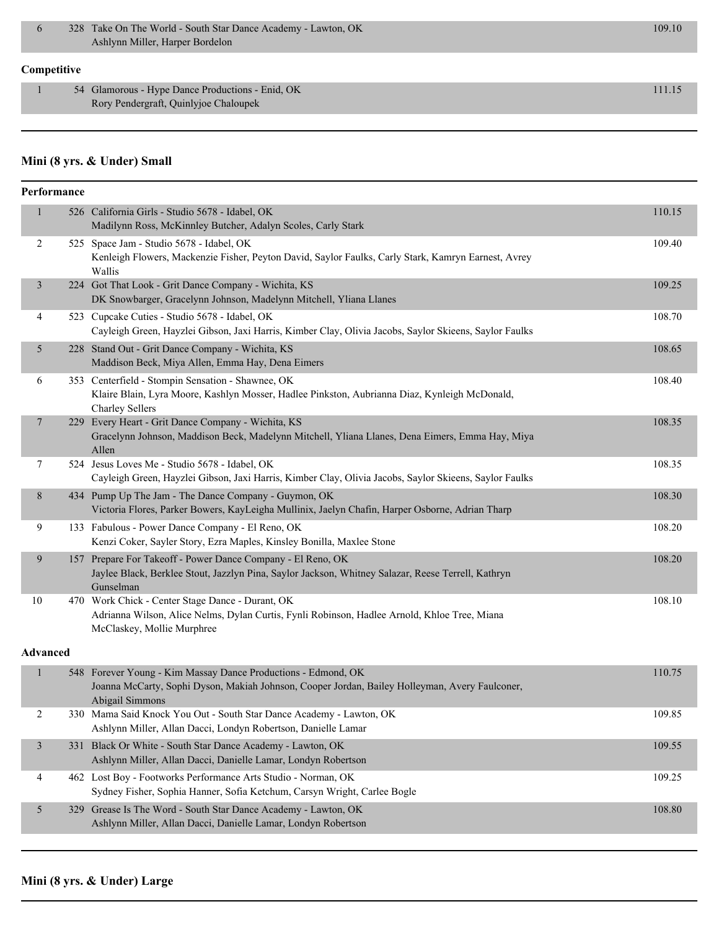#### **Competitive**

1 54 Glamorous - Hype Dance Productions - Enid, OK 111.15 Rory Pendergraft, Quinlyjoe Chaloupek

### **Mini (8 yrs. & Under) Small**

| Performance     |                                                                                                                                                                                    |        |
|-----------------|------------------------------------------------------------------------------------------------------------------------------------------------------------------------------------|--------|
| 1               | 526 California Girls - Studio 5678 - Idabel, OK<br>Madilynn Ross, McKinnley Butcher, Adalyn Scoles, Carly Stark                                                                    | 110.15 |
| 2               | 525 Space Jam - Studio 5678 - Idabel, OK<br>Kenleigh Flowers, Mackenzie Fisher, Peyton David, Saylor Faulks, Carly Stark, Kamryn Earnest, Avrey<br>Wallis                          | 109.40 |
| 3               | 224 Got That Look - Grit Dance Company - Wichita, KS<br>DK Snowbarger, Gracelynn Johnson, Madelynn Mitchell, Yliana Llanes                                                         | 109.25 |
| 4               | 523 Cupcake Cuties - Studio 5678 - Idabel, OK<br>Cayleigh Green, Hayzlei Gibson, Jaxi Harris, Kimber Clay, Olivia Jacobs, Saylor Skieens, Saylor Faulks                            | 108.70 |
| 5               | 228 Stand Out - Grit Dance Company - Wichita, KS<br>Maddison Beck, Miya Allen, Emma Hay, Dena Eimers                                                                               | 108.65 |
| 6               | 353 Centerfield - Stompin Sensation - Shawnee, OK<br>Klaire Blain, Lyra Moore, Kashlyn Mosser, Hadlee Pinkston, Aubrianna Diaz, Kynleigh McDonald,<br><b>Charley Sellers</b>       | 108.40 |
| 7               | 229 Every Heart - Grit Dance Company - Wichita, KS<br>Gracelynn Johnson, Maddison Beck, Madelynn Mitchell, Yliana Llanes, Dena Eimers, Emma Hay, Miya<br>Allen                     | 108.35 |
| $\tau$          | 524 Jesus Loves Me - Studio 5678 - Idabel, OK<br>Cayleigh Green, Hayzlei Gibson, Jaxi Harris, Kimber Clay, Olivia Jacobs, Saylor Skieens, Saylor Faulks                            | 108.35 |
| $\,8\,$         | 434 Pump Up The Jam - The Dance Company - Guymon, OK<br>Victoria Flores, Parker Bowers, KayLeigha Mullinix, Jaelyn Chafin, Harper Osborne, Adrian Tharp                            | 108.30 |
| 9               | 133 Fabulous - Power Dance Company - El Reno, OK<br>Kenzi Coker, Sayler Story, Ezra Maples, Kinsley Bonilla, Maxlee Stone                                                          | 108.20 |
| 9               | 157 Prepare For Takeoff - Power Dance Company - El Reno, OK<br>Jaylee Black, Berklee Stout, Jazzlyn Pina, Saylor Jackson, Whitney Salazar, Reese Terrell, Kathryn<br>Gunselman     | 108.20 |
| 10              | 470 Work Chick - Center Stage Dance - Durant, OK<br>Adrianna Wilson, Alice Nelms, Dylan Curtis, Fynli Robinson, Hadlee Arnold, Khloe Tree, Miana<br>McClaskey, Mollie Murphree     | 108.10 |
| <b>Advanced</b> |                                                                                                                                                                                    |        |
| 1               | 548 Forever Young - Kim Massay Dance Productions - Edmond, OK<br>Joanna McCarty, Sophi Dyson, Makiah Johnson, Cooper Jordan, Bailey Holleyman, Avery Faulconer,<br>Abigail Simmons | 110.75 |
| $\overline{c}$  | 330 Mama Said Knock You Out - South Star Dance Academy - Lawton, OK<br>Ashlynn Miller, Allan Dacci, Londyn Robertson, Danielle Lamar                                               | 109.85 |
| 3               | 331 Black Or White - South Star Dance Academy - Lawton, OK<br>Ashlynn Miller, Allan Dacci, Danielle Lamar, Londyn Robertson                                                        | 109.55 |
| 4               | 462 Lost Boy - Footworks Performance Arts Studio - Norman, OK<br>Sydney Fisher, Sophia Hanner, Sofia Ketchum, Carsyn Wright, Carlee Bogle                                          | 109.25 |
| 5               | 329 Grease Is The Word - South Star Dance Academy - Lawton, OK                                                                                                                     | 108.80 |

Ashlynn Miller, Allan Dacci, Danielle Lamar, Londyn Robertson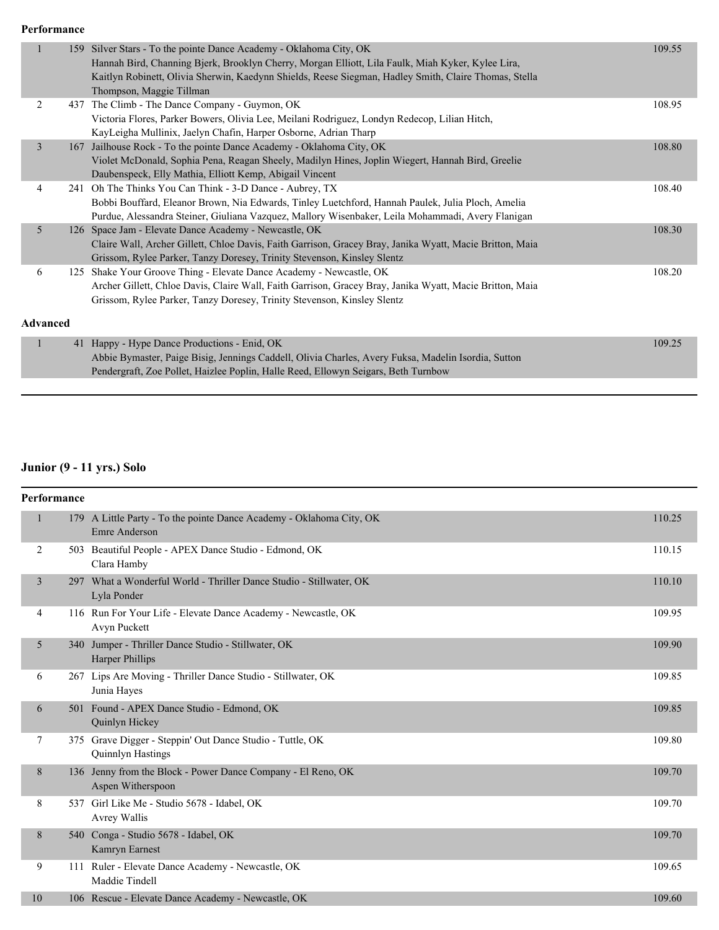#### **Performance**

|                | 159 | Silver Stars - To the pointe Dance Academy - Oklahoma City, OK                                           | 109.55 |
|----------------|-----|----------------------------------------------------------------------------------------------------------|--------|
|                |     | Hannah Bird, Channing Bjerk, Brooklyn Cherry, Morgan Elliott, Lila Faulk, Miah Kyker, Kylee Lira,        |        |
|                |     | Kaitlyn Robinett, Olivia Sherwin, Kaedynn Shields, Reese Siegman, Hadley Smith, Claire Thomas, Stella    |        |
|                |     | Thompson, Maggie Tillman                                                                                 |        |
| 2              |     | 437 The Climb - The Dance Company - Guymon, OK                                                           | 108.95 |
|                |     | Victoria Flores, Parker Bowers, Olivia Lee, Meilani Rodriguez, Londyn Redecop, Lilian Hitch,             |        |
|                |     | KayLeigha Mullinix, Jaelyn Chafin, Harper Osborne, Adrian Tharp                                          |        |
| 3              | 167 | Jailhouse Rock - To the pointe Dance Academy - Oklahoma City, OK                                         | 108.80 |
|                |     | Violet McDonald, Sophia Pena, Reagan Sheely, Madilyn Hines, Joplin Wiegert, Hannah Bird, Greelie         |        |
|                |     | Daubenspeck, Elly Mathia, Elliott Kemp, Abigail Vincent                                                  |        |
| 4              |     | 241 Oh The Thinks You Can Think - 3-D Dance - Aubrey, TX                                                 | 108.40 |
|                |     | Bobbi Bouffard, Eleanor Brown, Nia Edwards, Tinley Luetchford, Hannah Paulek, Julia Ploch, Amelia        |        |
|                |     | Purdue, Alessandra Steiner, Giuliana Vazquez, Mallory Wisenbaker, Leila Mohammadi, Avery Flanigan        |        |
| $\overline{5}$ |     | 126 Space Jam - Elevate Dance Academy - Newcastle, OK                                                    | 108.30 |
|                |     | Claire Wall, Archer Gillett, Chloe Davis, Faith Garrison, Gracey Bray, Janika Wyatt, Macie Britton, Maia |        |
|                |     | Grissom, Rylee Parker, Tanzy Doresey, Trinity Stevenson, Kinsley Slentz                                  |        |
| 6              | 125 | Shake Your Groove Thing - Elevate Dance Academy - Newcastle, OK                                          | 108.20 |
|                |     | Archer Gillett, Chloe Davis, Claire Wall, Faith Garrison, Gracey Bray, Janika Wyatt, Macie Britton, Maia |        |
|                |     | Grissom, Rylee Parker, Tanzy Doresey, Trinity Stevenson, Kinsley Slentz                                  |        |
|                |     |                                                                                                          |        |
| Advanced       |     |                                                                                                          |        |

| 41 Happy - Hype Dance Productions - Enid, OK                                                        | 109.25 |
|-----------------------------------------------------------------------------------------------------|--------|
| Abbie Bymaster, Paige Bisig, Jennings Caddell, Olivia Charles, Avery Fuksa, Madelin Isordia, Sutton |        |
| Pendergraft, Zoe Pollet, Haizlee Poplin, Halle Reed, Ellowyn Seigars, Beth Turnbow                  |        |

# **Junior (9 - 11 yrs.) Solo**

| Performance  |     |                                                                                              |        |
|--------------|-----|----------------------------------------------------------------------------------------------|--------|
| $\mathbf{1}$ |     | 179 A Little Party - To the pointe Dance Academy - Oklahoma City, OK<br><b>Emre Anderson</b> | 110.25 |
| 2            |     | 503 Beautiful People - APEX Dance Studio - Edmond, OK<br>Clara Hamby                         | 110.15 |
| 3            |     | 297 What a Wonderful World - Thriller Dance Studio - Stillwater, OK<br>Lyla Ponder           | 110.10 |
| 4            |     | 116 Run For Your Life - Elevate Dance Academy - Newcastle, OK<br>Avyn Puckett                | 109.95 |
| 5            | 340 | Jumper - Thriller Dance Studio - Stillwater, OK<br><b>Harper Phillips</b>                    | 109.90 |
| 6            |     | 267 Lips Are Moving - Thriller Dance Studio - Stillwater, OK<br>Junia Hayes                  | 109.85 |
| 6            |     | 501 Found - APEX Dance Studio - Edmond, OK<br>Quinlyn Hickey                                 | 109.85 |
| 7            |     | 375 Grave Digger - Steppin' Out Dance Studio - Tuttle, OK<br>Quinnlyn Hastings               | 109.80 |
| 8            |     | 136 Jenny from the Block - Power Dance Company - El Reno, OK<br>Aspen Witherspoon            | 109.70 |
| 8            |     | 537 Girl Like Me - Studio 5678 - Idabel, OK<br>Avrey Wallis                                  | 109.70 |
| 8            |     | 540 Conga - Studio 5678 - Idabel, OK<br>Kamryn Earnest                                       | 109.70 |
| 9            |     | 111 Ruler - Elevate Dance Academy - Newcastle, OK<br>Maddie Tindell                          | 109.65 |
| 10           |     | 106 Rescue - Elevate Dance Academy - Newcastle, OK                                           | 109.60 |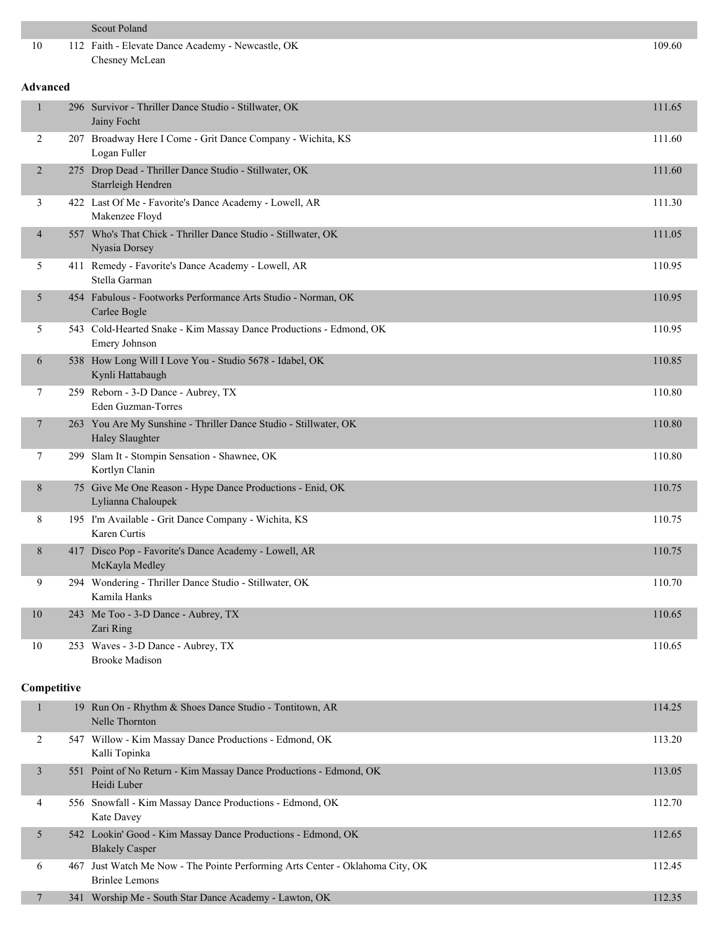|                          | <b>Scout Poland</b>                                                                                    |        |
|--------------------------|--------------------------------------------------------------------------------------------------------|--------|
| 10                       | 112 Faith - Elevate Dance Academy - Newcastle, OK<br>Chesney McLean                                    | 109.60 |
| <b>Advanced</b>          |                                                                                                        |        |
| $\mathbf{1}$             | 296 Survivor - Thriller Dance Studio - Stillwater, OK<br>Jainy Focht                                   | 111.65 |
| 2                        | 207 Broadway Here I Come - Grit Dance Company - Wichita, KS<br>Logan Fuller                            | 111.60 |
| 2                        | 275 Drop Dead - Thriller Dance Studio - Stillwater, OK<br>Starrleigh Hendren                           | 111.60 |
| 3                        | 422 Last Of Me - Favorite's Dance Academy - Lowell, AR<br>Makenzee Floyd                               | 111.30 |
| $\overline{\mathcal{A}}$ | 557 Who's That Chick - Thriller Dance Studio - Stillwater, OK<br>Nyasia Dorsey                         | 111.05 |
| 5                        | 411 Remedy - Favorite's Dance Academy - Lowell, AR<br>Stella Garman                                    | 110.95 |
| 5                        | 454 Fabulous - Footworks Performance Arts Studio - Norman, OK<br>Carlee Bogle                          | 110.95 |
| 5                        | 543 Cold-Hearted Snake - Kim Massay Dance Productions - Edmond, OK<br>Emery Johnson                    | 110.95 |
| 6                        | 538 How Long Will I Love You - Studio 5678 - Idabel, OK<br>Kynli Hattabaugh                            | 110.85 |
| 7                        | 259 Reborn - 3-D Dance - Aubrey, TX<br>Eden Guzman-Torres                                              | 110.80 |
| 7                        | 263 You Are My Sunshine - Thriller Dance Studio - Stillwater, OK<br><b>Haley Slaughter</b>             | 110.80 |
| 7                        | 299 Slam It - Stompin Sensation - Shawnee, OK<br>Kortlyn Clanin                                        | 110.80 |
| 8                        | 75 Give Me One Reason - Hype Dance Productions - Enid, OK<br>Lylianna Chaloupek                        | 110.75 |
| 8                        | 195 I'm Available - Grit Dance Company - Wichita, KS<br>Karen Curtis                                   | 110.75 |
| $8\,$                    | 417 Disco Pop - Favorite's Dance Academy - Lowell, AR<br>McKayla Medley                                | 110.75 |
| 9                        | 294 Wondering - Thriller Dance Studio - Stillwater, OK<br>Kamila Hanks                                 | 110.70 |
| 10                       | 243 Me Too - 3-D Dance - Aubrey, TX<br>Zari Ring                                                       | 110.65 |
| 10                       | 253 Waves - 3-D Dance - Aubrey, TX<br><b>Brooke Madison</b>                                            | 110.65 |
| Competitive              |                                                                                                        |        |
| $\mathbf{1}$             | 19 Run On - Rhythm & Shoes Dance Studio - Tontitown, AR<br>Nelle Thornton                              | 114.25 |
| 2                        | 547 Willow - Kim Massay Dance Productions - Edmond, OK<br>Kalli Topinka                                | 113.20 |
| 3                        | 551 Point of No Return - Kim Massay Dance Productions - Edmond, OK<br>Heidi Luber                      | 113.05 |
| 4                        | 556 Snowfall - Kim Massay Dance Productions - Edmond, OK<br>Kate Davey                                 | 112.70 |
| 5                        | 542 Lookin' Good - Kim Massay Dance Productions - Edmond, OK<br><b>Blakely Casper</b>                  | 112.65 |
| 6                        | 467 Just Watch Me Now - The Pointe Performing Arts Center - Oklahoma City, OK<br><b>Brinlee Lemons</b> | 112.45 |
| 7                        | 341 Worship Me - South Star Dance Academy - Lawton, OK                                                 | 112.35 |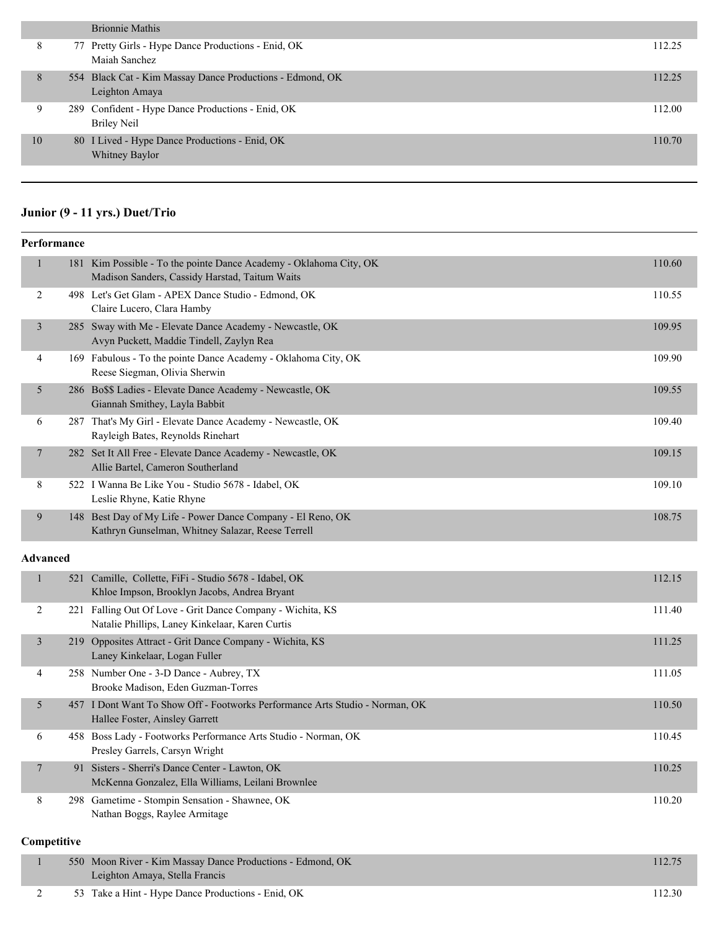|    | <b>Brionnie Mathis</b>                                                      |        |
|----|-----------------------------------------------------------------------------|--------|
| δ  | 77 Pretty Girls - Hype Dance Productions - Enid, OK<br>Maiah Sanchez        | 112.25 |
| 8  | 554 Black Cat - Kim Massay Dance Productions - Edmond, OK<br>Leighton Amaya | 112.25 |
| 9  | 289 Confident - Hype Dance Productions - Enid, OK<br><b>Briley Neil</b>     | 112.00 |
| 10 | 80 I Lived - Hype Dance Productions - Enid, OK<br>Whitney Baylor            | 110.70 |
|    |                                                                             |        |

# **Junior (9 - 11 yrs.) Duet/Trio**

| Performance             |                                                                                                                  |        |
|-------------------------|------------------------------------------------------------------------------------------------------------------|--------|
| $\mathbf{1}$<br>181     | Kim Possible - To the pointe Dance Academy - Oklahoma City, OK<br>Madison Sanders, Cassidy Harstad, Taitum Waits | 110.60 |
| $\overline{2}$          | 498 Let's Get Glam - APEX Dance Studio - Edmond, OK<br>Claire Lucero, Clara Hamby                                | 110.55 |
| 3                       | 285 Sway with Me - Elevate Dance Academy - Newcastle, OK<br>Avyn Puckett, Maddie Tindell, Zaylyn Rea             | 109.95 |
| 4                       | 169 Fabulous - To the pointe Dance Academy - Oklahoma City, OK<br>Reese Siegman, Olivia Sherwin                  | 109.90 |
| 5                       | 286 Bo\$\$ Ladies - Elevate Dance Academy - Newcastle, OK<br>Giannah Smithey, Layla Babbit                       | 109.55 |
| 6                       | 287 That's My Girl - Elevate Dance Academy - Newcastle, OK<br>Rayleigh Bates, Reynolds Rinehart                  | 109.40 |
| $\tau$                  | 282 Set It All Free - Elevate Dance Academy - Newcastle, OK<br>Allie Bartel, Cameron Southerland                 | 109.15 |
| 8                       | 522 I Wanna Be Like You - Studio 5678 - Idabel, OK<br>Leslie Rhyne, Katie Rhyne                                  | 109.10 |
| 9                       | 148 Best Day of My Life - Power Dance Company - El Reno, OK<br>Kathryn Gunselman, Whitney Salazar, Reese Terrell | 108.75 |
| Advanced                |                                                                                                                  |        |
| $\mathbf{1}$<br>521     | Camille, Collette, FiFi - Studio 5678 - Idabel, OK<br>Khloe Impson, Brooklyn Jacobs, Andrea Bryant               | 112.15 |
| 2                       | 221 Falling Out Of Love - Grit Dance Company - Wichita, KS<br>Natalie Phillips, Laney Kinkelaar, Karen Curtis    | 111.40 |
| $\overline{\mathbf{3}}$ | 219 Opposites Attract - Grit Dance Company - Wichita, KS<br>Laney Kinkelaar, Logan Fuller                        | 111.25 |
| 4                       | 258 Number One - 3-D Dance - Aubrey, TX<br>Brooke Madison, Eden Guzman-Torres                                    | 111.05 |
| 5                       | 457 I Dont Want To Show Off - Footworks Performance Arts Studio - Norman, OK<br>Hallee Foster, Ainsley Garrett   | 110.50 |
| 6                       | 458 Boss Lady - Footworks Performance Arts Studio - Norman, OK<br>Presley Garrels, Carsyn Wright                 | 110.45 |
| $\overline{7}$          | 91 Sisters - Sherri's Dance Center - Lawton, OK<br>McKenna Gonzalez, Ella Williams, Leilani Brownlee             | 110.25 |
| 8                       | 298 Gametime - Stompin Sensation - Shawnee, OK<br>Nathan Boggs, Raylee Armitage                                  | 110.20 |

# **Competitive**

|  | 550 Moon River - Kim Massay Dance Productions - Edmond, OK<br>Leighton Amaya, Stella Francis | 112.75 |
|--|----------------------------------------------------------------------------------------------|--------|
|  | 53 Take a Hint - Hype Dance Productions - Enid, OK                                           | 112.30 |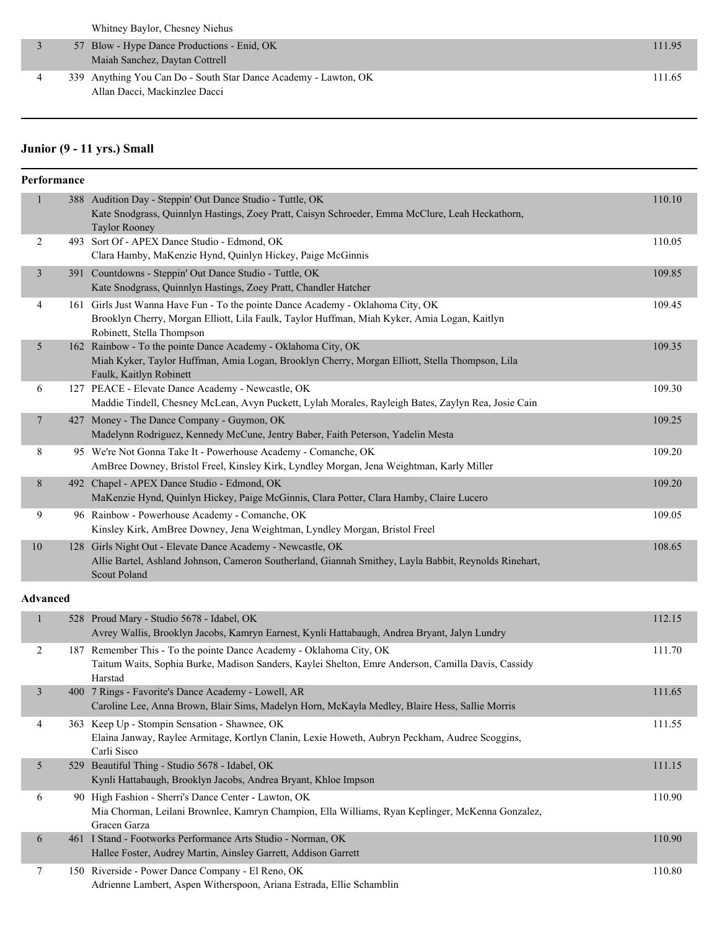|  | Whitney Baylor, Chesney Niehus                                  |        |
|--|-----------------------------------------------------------------|--------|
|  | 57 Blow - Hype Dance Productions - Enid, OK                     | 111.95 |
|  | Maiah Sanchez, Daytan Cottrell                                  |        |
|  | 339 Anything You Can Do - South Star Dance Academy - Lawton, OK | 111.65 |
|  | Allan Dacci, Mackinzlee Dacci                                   |        |

### **Junior (9 - 11 yrs.) Small**

| Performance     |                                                                                                                                                                                                              |        |
|-----------------|--------------------------------------------------------------------------------------------------------------------------------------------------------------------------------------------------------------|--------|
| 1               | 388 Audition Day - Steppin' Out Dance Studio - Tuttle, OK<br>Kate Snodgrass, Quinnlyn Hastings, Zoey Pratt, Caisyn Schroeder, Emma McClure, Leah Heckathorn,<br><b>Taylor Rooney</b>                         | 110.10 |
| 2               | 493 Sort Of - APEX Dance Studio - Edmond, OK<br>Clara Hamby, MaKenzie Hynd, Quinlyn Hickey, Paige McGinnis                                                                                                   | 110.05 |
| 3               | 391 Countdowns - Steppin' Out Dance Studio - Tuttle, OK<br>Kate Snodgrass, Quinnlyn Hastings, Zoey Pratt, Chandler Hatcher                                                                                   | 109.85 |
| $\overline{4}$  | 161 Girls Just Wanna Have Fun - To the pointe Dance Academy - Oklahoma City, OK<br>Brooklyn Cherry, Morgan Elliott, Lila Faulk, Taylor Huffman, Miah Kyker, Amia Logan, Kaitlyn<br>Robinett, Stella Thompson | 109.45 |
| 5               | 162 Rainbow - To the pointe Dance Academy - Oklahoma City, OK<br>Miah Kyker, Taylor Huffman, Amia Logan, Brooklyn Cherry, Morgan Elliott, Stella Thompson, Lila<br>Faulk, Kaitlyn Robinett                   | 109.35 |
| 6               | 127 PEACE - Elevate Dance Academy - Newcastle, OK<br>Maddie Tindell, Chesney McLean, Avyn Puckett, Lylah Morales, Rayleigh Bates, Zaylyn Rea, Josie Cain                                                     | 109.30 |
| 7               | 427 Money - The Dance Company - Guymon, OK<br>Madelynn Rodriguez, Kennedy McCune, Jentry Baber, Faith Peterson, Yadelin Mesta                                                                                | 109.25 |
| 8               | 95 We're Not Gonna Take It - Powerhouse Academy - Comanche, OK<br>AmBree Downey, Bristol Freel, Kinsley Kirk, Lyndley Morgan, Jena Weightman, Karly Miller                                                   | 109.20 |
| 8               | 492 Chapel - APEX Dance Studio - Edmond, OK<br>MaKenzie Hynd, Quinlyn Hickey, Paige McGinnis, Clara Potter, Clara Hamby, Claire Lucero                                                                       | 109.20 |
| 9               | 96 Rainbow - Powerhouse Academy - Comanche, OK<br>Kinsley Kirk, AmBree Downey, Jena Weightman, Lyndley Morgan, Bristol Freel                                                                                 | 109.05 |
| 10              | 128 Girls Night Out - Elevate Dance Academy - Newcastle, OK<br>Allie Bartel, Ashland Johnson, Cameron Southerland, Giannah Smithey, Layla Babbit, Reynolds Rinehart,<br>Scout Poland                         | 108.65 |
| <b>Advanced</b> |                                                                                                                                                                                                              |        |
| 1               | 528 Proud Mary - Studio 5678 - Idabel, OK<br>Avrey Wallis, Brooklyn Jacobs, Kamryn Earnest, Kynli Hattabaugh, Andrea Bryant, Jalyn Lundry                                                                    | 112.15 |
| $\overline{2}$  | 187 Remember This - To the pointe Dance Academy - Oklahoma City, OK<br>Taitum Waits, Sophia Burke, Madison Sanders, Kaylei Shelton, Emre Anderson, Camilla Davis, Cassidy<br>Harstad                         | 111.70 |
| 3               | 400 7 Rings - Favorite's Dance Academy - Lowell, AR<br>Caroline Lee, Anna Brown, Blair Sims, Madelyn Horn, McKayla Medley, Blaire Hess, Sallie Morris                                                        | 111.65 |
| 4               | 363 Keep Up - Stompin Sensation - Shawnee, OK<br>Elaina Janway, Raylee Armitage, Kortlyn Clanin, Lexie Howeth, Aubryn Peckham, Audree Scoggins,<br>Carli Sisco                                               | 111.55 |
| 5               | 529 Beautiful Thing - Studio 5678 - Idabel, OK<br>Kynli Hattabaugh, Brooklyn Jacobs, Andrea Bryant, Khloe Impson                                                                                             | 111.15 |
| 6               | 90 High Fashion - Sherri's Dance Center - Lawton, OK<br>Mia Chorman, Leilani Brownlee, Kamryn Champion, Ella Williams, Ryan Keplinger, McKenna Gonzalez,<br>Gracen Garza                                     | 110.90 |
| 6               | 461 I Stand - Footworks Performance Arts Studio - Norman, OK                                                                                                                                                 | 110.90 |

Hallee Foster, Audrey Martin, Ainsley Garrett, Addison Garrett 7 150 Riverside - Power Dance Company - El Reno, OK 110.80 Adrienne Lambert, Aspen Witherspoon, Ariana Estrada, Ellie Schamblin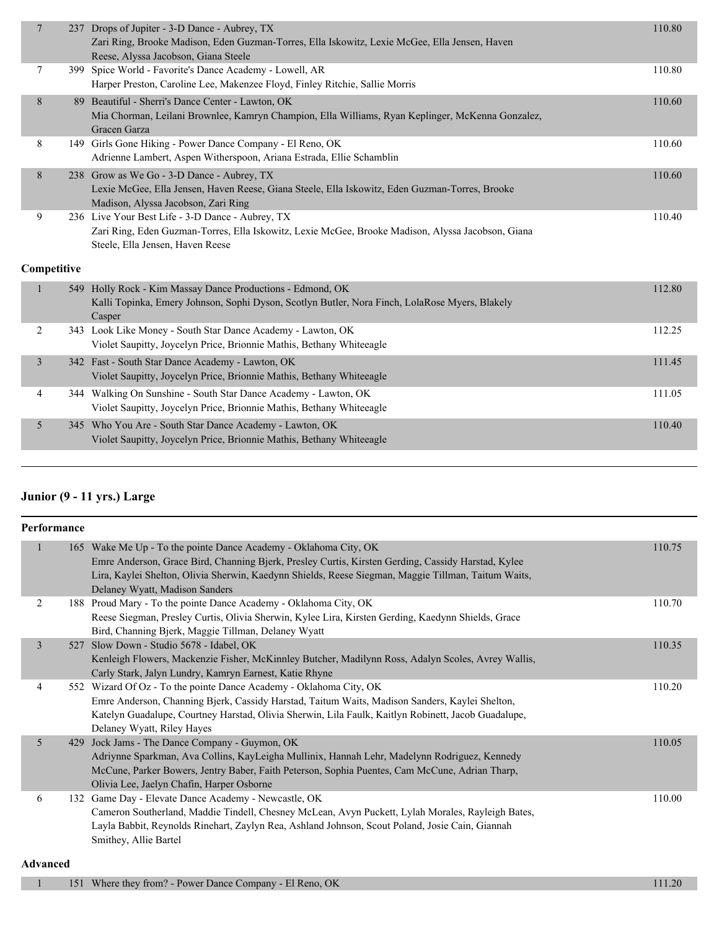| $\overline{7}$          | 237         | Drops of Jupiter - 3-D Dance - Aubrey, TX<br>Zari Ring, Brooke Madison, Eden Guzman-Torres, Ella Iskowitz, Lexie McGee, Ella Jensen, Haven<br>Reese, Alyssa Jacobson, Giana Steele        | 110.80 |
|-------------------------|-------------|-------------------------------------------------------------------------------------------------------------------------------------------------------------------------------------------|--------|
| 7                       |             | 399 Spice World - Favorite's Dance Academy - Lowell, AR<br>Harper Preston, Caroline Lee, Makenzee Floyd, Finley Ritchie, Sallie Morris                                                    | 110.80 |
| 8                       |             | 89 Beautiful - Sherri's Dance Center - Lawton, OK<br>Mia Chorman, Leilani Brownlee, Kamryn Champion, Ella Williams, Ryan Keplinger, McKenna Gonzalez,<br>Gracen Garza                     | 110.60 |
| 8                       |             | 149 Girls Gone Hiking - Power Dance Company - El Reno, OK<br>Adrienne Lambert, Aspen Witherspoon, Ariana Estrada, Ellie Schamblin                                                         | 110.60 |
| 8                       |             | 238 Grow as We Go - 3-D Dance - Aubrey, TX<br>Lexie McGee, Ella Jensen, Haven Reese, Giana Steele, Ella Iskowitz, Eden Guzman-Torres, Brooke<br>Madison, Alyssa Jacobson, Zari Ring       | 110.60 |
| 9                       |             | 236 Live Your Best Life - 3-D Dance - Aubrey, TX<br>Zari Ring, Eden Guzman-Torres, Ella Iskowitz, Lexie McGee, Brooke Madison, Alyssa Jacobson, Giana<br>Steele, Ella Jensen, Haven Reese | 110.40 |
|                         | Competitive |                                                                                                                                                                                           |        |
|                         |             | 549 Holly Rock - Kim Massay Dance Productions - Edmond, OK<br>Kalli Topinka, Emery Johnson, Sophi Dyson, Scotlyn Butler, Nora Finch, LolaRose Myers, Blakely<br>Casper                    | 112.80 |
| 2                       |             | 343 Look Like Money - South Star Dance Academy - Lawton, OK<br>Violet Saupitty, Joycelyn Price, Brionnie Mathis, Bethany Whiteeagle                                                       | 112.25 |
| $\overline{\mathbf{3}}$ |             | 342 Fast - South Star Dance Academy - Lawton, OK<br>Violet Saupitty, Joycelyn Price, Brionnie Mathis, Bethany Whiteeagle                                                                  | 111.45 |
| 4                       |             | 344 Walking On Sunshine - South Star Dance Academy - Lawton, OK<br>Violet Saupitty, Joycelyn Price, Brionnie Mathis, Bethany Whiteeagle                                                   | 111.05 |
| 5                       |             | 345 Who You Are - South Star Dance Academy - Lawton, OK<br>Violet Saupitty, Joycelyn Price, Brionnie Mathis, Bethany Whiteeagle                                                           | 110.40 |

## **Junior (9 - 11 yrs.) Large**

| Performance    |     |                                                                                                                                                                                                                                                                                                                 |        |
|----------------|-----|-----------------------------------------------------------------------------------------------------------------------------------------------------------------------------------------------------------------------------------------------------------------------------------------------------------------|--------|
| 1              |     | 165 Wake Me Up - To the pointe Dance Academy - Oklahoma City, OK<br>Emre Anderson, Grace Bird, Channing Bjerk, Presley Curtis, Kirsten Gerding, Cassidy Harstad, Kylee<br>Lira, Kaylei Shelton, Olivia Sherwin, Kaedynn Shields, Reese Siegman, Maggie Tillman, Taitum Waits,<br>Delaney Wyatt, Madison Sanders | 110.75 |
| 2              |     | 188 Proud Mary - To the pointe Dance Academy - Oklahoma City, OK<br>Reese Siegman, Presley Curtis, Olivia Sherwin, Kylee Lira, Kirsten Gerding, Kaedynn Shields, Grace<br>Bird, Channing Bjerk, Maggie Tillman, Delaney Wyatt                                                                                   | 110.70 |
| $\overline{3}$ | 527 | Slow Down - Studio 5678 - Idabel, OK<br>Kenleigh Flowers, Mackenzie Fisher, McKinnley Butcher, Madilynn Ross, Adalyn Scoles, Avrey Wallis,<br>Carly Stark, Jalyn Lundry, Kamryn Earnest, Katie Rhyne                                                                                                            | 110.35 |
| 4              |     | 552 Wizard Of Oz - To the pointe Dance Academy - Oklahoma City, OK<br>Emre Anderson, Channing Bjerk, Cassidy Harstad, Taitum Waits, Madison Sanders, Kaylei Shelton,<br>Katelyn Guadalupe, Courtney Harstad, Olivia Sherwin, Lila Faulk, Kaitlyn Robinett, Jacob Guadalupe,<br>Delaney Wyatt, Riley Hayes       | 110.20 |
| 5              | 429 | Jock Jams - The Dance Company - Guymon, OK<br>Adriynne Sparkman, Ava Collins, KayLeigha Mullinix, Hannah Lehr, Madelynn Rodriguez, Kennedy<br>McCune, Parker Bowers, Jentry Baber, Faith Peterson, Sophia Puentes, Cam McCune, Adrian Tharp,<br>Olivia Lee, Jaelyn Chafin, Harper Osborne                       | 110.05 |
| 6              |     | 132 Game Day - Elevate Dance Academy - Newcastle, OK<br>Cameron Southerland, Maddie Tindell, Chesney McLean, Avyn Puckett, Lylah Morales, Rayleigh Bates,<br>Layla Babbit, Reynolds Rinehart, Zaylyn Rea, Ashland Johnson, Scout Poland, Josie Cain, Giannah<br>Smithey, Allie Bartel                           | 110.00 |

### **Advanced**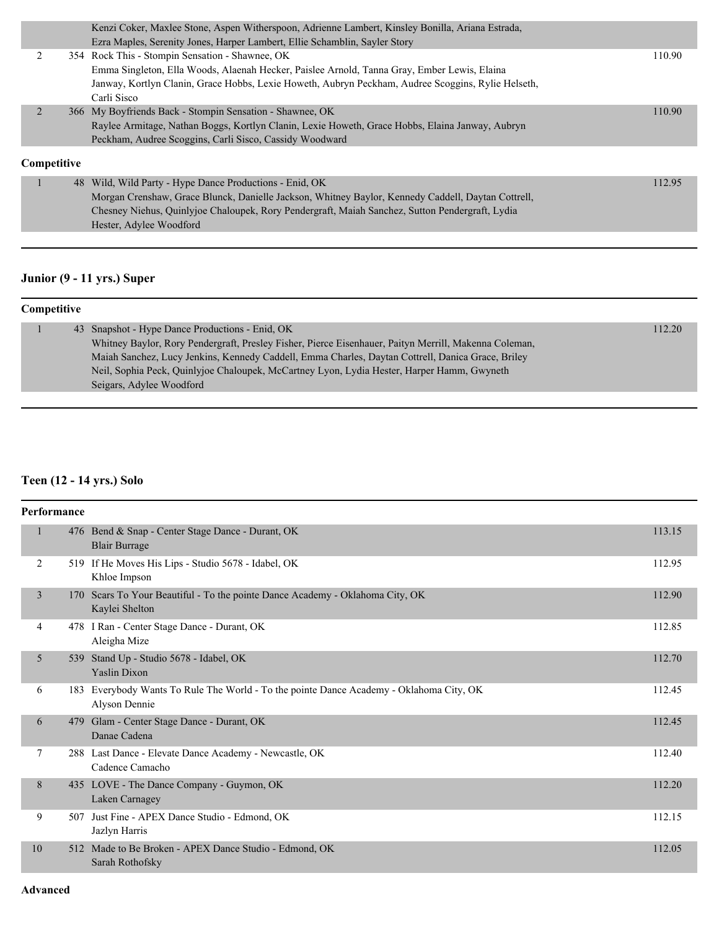|             | Kenzi Coker, Maxlee Stone, Aspen Witherspoon, Adrienne Lambert, Kinsley Bonilla, Ariana Estrada,   |        |
|-------------|----------------------------------------------------------------------------------------------------|--------|
|             | Ezra Maples, Serenity Jones, Harper Lambert, Ellie Schamblin, Sayler Story                         |        |
|             | 354 Rock This - Stompin Sensation - Shawnee, OK                                                    | 110.90 |
|             | Emma Singleton, Ella Woods, Alaenah Hecker, Paislee Arnold, Tanna Gray, Ember Lewis, Elaina        |        |
|             | Janway, Kortlyn Clanin, Grace Hobbs, Lexie Howeth, Aubryn Peckham, Audree Scoggins, Rylie Helseth, |        |
|             | Carli Sisco                                                                                        |        |
|             | 366 My Boyfriends Back - Stompin Sensation - Shawnee, OK                                           | 110.90 |
|             | Raylee Armitage, Nathan Boggs, Kortlyn Clanin, Lexie Howeth, Grace Hobbs, Elaina Janway, Aubryn    |        |
|             | Peckham, Audree Scoggins, Carli Sisco, Cassidy Woodward                                            |        |
| Competitive |                                                                                                    |        |
|             | 48 Wild, Wild Party - Hype Dance Productions - Enid, OK                                            | 112.95 |
|             | Morgan Crenshaw, Grace Blunck, Danielle Jackson, Whitney Baylor, Kennedy Caddell, Daytan Cottrell, |        |
|             | Chesney Niehus, Quinlyjoe Chaloupek, Rory Pendergraft, Maiah Sanchez, Sutton Pendergraft, Lydia    |        |

## **Junior (9 - 11 yrs.) Super**

Hester, Adylee Woodford

| <b>Competitive</b> |  |                                                                                                       |        |
|--------------------|--|-------------------------------------------------------------------------------------------------------|--------|
|                    |  | 43 Snapshot - Hype Dance Productions - Enid, OK                                                       | 112.20 |
|                    |  | Whitney Baylor, Rory Pendergraft, Presley Fisher, Pierce Eisenhauer, Paityn Merrill, Makenna Coleman, |        |
|                    |  | Maiah Sanchez, Lucy Jenkins, Kennedy Caddell, Emma Charles, Daytan Cottrell, Danica Grace, Briley     |        |
|                    |  | Neil, Sophia Peck, Quinlyjoe Chaloupek, McCartney Lyon, Lydia Hester, Harper Hamm, Gwyneth            |        |
|                    |  | Seigars, Adylee Woodford                                                                              |        |

## **Teen (12 - 14 yrs.) Solo**

| Performance    |     |                                                                                                          |        |  |  |
|----------------|-----|----------------------------------------------------------------------------------------------------------|--------|--|--|
| $\mathbf{1}$   |     | 476 Bend & Snap - Center Stage Dance - Durant, OK<br><b>Blair Burrage</b>                                | 113.15 |  |  |
| 2              |     | 519 If He Moves His Lips - Studio 5678 - Idabel, OK<br>Khloe Impson                                      | 112.95 |  |  |
| $\overline{3}$ |     | 170 Scars To Your Beautiful - To the pointe Dance Academy - Oklahoma City, OK<br>Kaylei Shelton          | 112.90 |  |  |
| 4              |     | 478 I Ran - Center Stage Dance - Durant, OK<br>Aleigha Mize                                              | 112.85 |  |  |
| 5              |     | 539 Stand Up - Studio 5678 - Idabel, OK<br><b>Yaslin Dixon</b>                                           | 112.70 |  |  |
| 6              |     | 183 Everybody Wants To Rule The World - To the pointe Dance Academy - Oklahoma City, OK<br>Alyson Dennie | 112.45 |  |  |
| 6              |     | 479 Glam - Center Stage Dance - Durant, OK<br>Danae Cadena                                               | 112.45 |  |  |
| 7              |     | 288 Last Dance - Elevate Dance Academy - Newcastle, OK<br>Cadence Camacho                                | 112.40 |  |  |
| 8              |     | 435 LOVE - The Dance Company - Guymon, OK<br>Laken Carnagey                                              | 112.20 |  |  |
| 9              | 507 | Just Fine - APEX Dance Studio - Edmond, OK<br>Jazlyn Harris                                              | 112.15 |  |  |
| 10             |     | 512 Made to Be Broken - APEX Dance Studio - Edmond, OK<br>Sarah Rothofsky                                | 112.05 |  |  |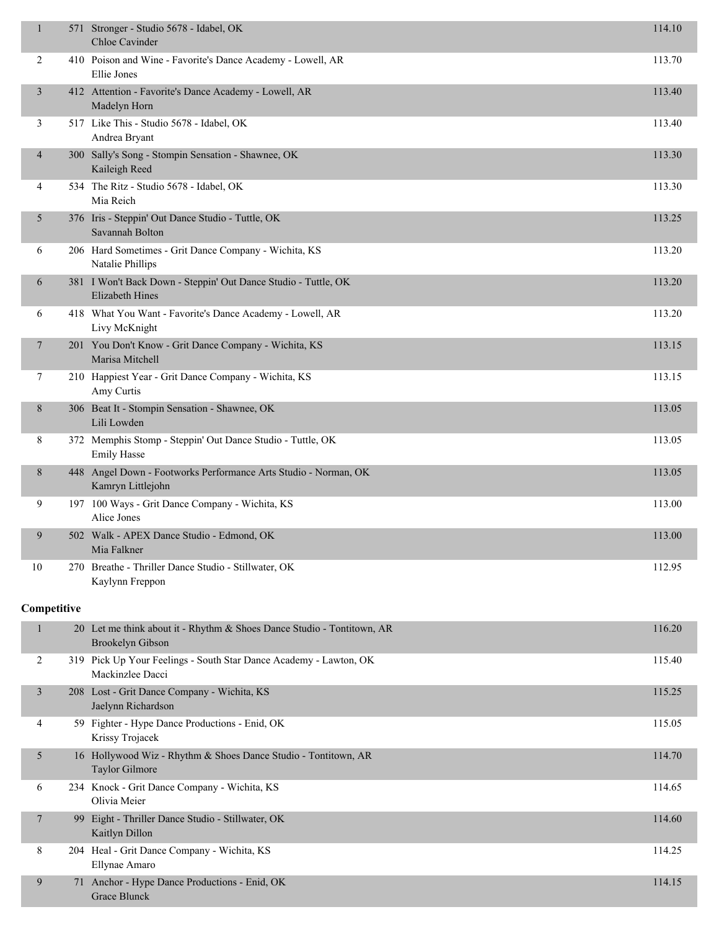| $\mathbf{1}$   | 571 Stronger - Studio 5678 - Idabel, OK<br>Chloe Cavinder                                         | 114.10 |
|----------------|---------------------------------------------------------------------------------------------------|--------|
| $\overline{2}$ | 410 Poison and Wine - Favorite's Dance Academy - Lowell, AR<br>Ellie Jones                        | 113.70 |
| 3              | 412 Attention - Favorite's Dance Academy - Lowell, AR<br>Madelyn Horn                             | 113.40 |
| 3              | 517 Like This - Studio 5678 - Idabel, OK<br>Andrea Bryant                                         | 113.40 |
| 4              | 300 Sally's Song - Stompin Sensation - Shawnee, OK<br>Kaileigh Reed                               | 113.30 |
| 4              | 534 The Ritz - Studio 5678 - Idabel, OK<br>Mia Reich                                              | 113.30 |
| 5              | 376 Iris - Steppin' Out Dance Studio - Tuttle, OK<br>Savannah Bolton                              | 113.25 |
| 6              | 206 Hard Sometimes - Grit Dance Company - Wichita, KS<br>Natalie Phillips                         | 113.20 |
| 6              | 381 I Won't Back Down - Steppin' Out Dance Studio - Tuttle, OK<br><b>Elizabeth Hines</b>          | 113.20 |
| 6              | 418 What You Want - Favorite's Dance Academy - Lowell, AR<br>Livy McKnight                        | 113.20 |
| 7              | 201 You Don't Know - Grit Dance Company - Wichita, KS<br>Marisa Mitchell                          | 113.15 |
| 7              | 210 Happiest Year - Grit Dance Company - Wichita, KS<br>Amy Curtis                                | 113.15 |
| 8              | 306 Beat It - Stompin Sensation - Shawnee, OK<br>Lili Lowden                                      | 113.05 |
| 8              | 372 Memphis Stomp - Steppin' Out Dance Studio - Tuttle, OK<br><b>Emily Hasse</b>                  | 113.05 |
| 8              | 448 Angel Down - Footworks Performance Arts Studio - Norman, OK<br>Kamryn Littlejohn              | 113.05 |
| 9              | 197 100 Ways - Grit Dance Company - Wichita, KS<br>Alice Jones                                    | 113.00 |
| 9              | 502 Walk - APEX Dance Studio - Edmond, OK<br>Mia Falkner                                          | 113.00 |
| 10             | 270 Breathe - Thriller Dance Studio - Stillwater, OK<br>Kaylynn Freppon                           | 112.95 |
| Competitive    |                                                                                                   |        |
| $\mathbf{1}$   | 20 Let me think about it - Rhythm & Shoes Dance Studio - Tontitown, AR<br><b>Brookelyn Gibson</b> | 116.20 |
| 2              | 319 Pick Up Your Feelings - South Star Dance Academy - Lawton, OK<br>Mackinzlee Dacci             | 115.40 |
| 3              | 208 Lost - Grit Dance Company - Wichita, KS<br>Jaelynn Richardson                                 | 115.25 |
| 4              | 59 Fighter - Hype Dance Productions - Enid, OK<br>Krissy Trojacek                                 | 115.05 |
| 5              | 16 Hollywood Wiz - Rhythm & Shoes Dance Studio - Tontitown, AR<br>Taylor Gilmore                  | 114.70 |
| 6              | 234 Knock - Grit Dance Company - Wichita, KS<br>Olivia Meier                                      | 114.65 |
| 7              | 99 Eight - Thriller Dance Studio - Stillwater, OK<br>Kaitlyn Dillon                               | 114.60 |
| 8              | 204 Heal - Grit Dance Company - Wichita, KS<br>Ellynae Amaro                                      | 114.25 |
| 9              | 71 Anchor - Hype Dance Productions - Enid, OK                                                     | 114.15 |

Grace Blunck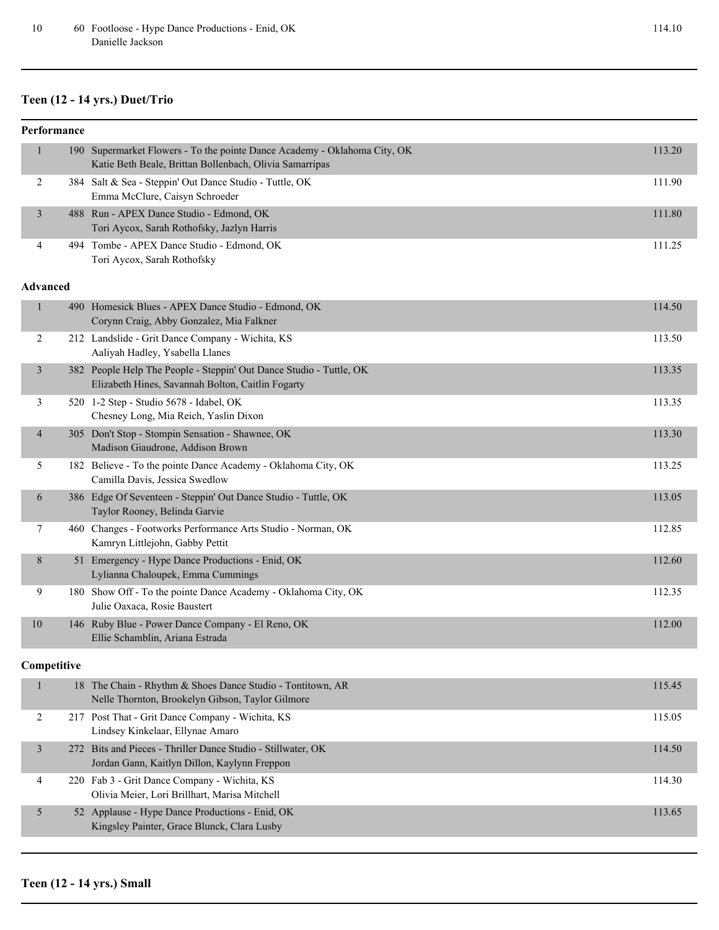## **Teen (12 - 14 yrs.) Duet/Trio**

| 190 Supermarket Flowers - To the pointe Dance Academy - Oklahoma City, OK<br>$\mathbf{1}$<br>Katie Beth Beale, Brittan Bollenbach, Olivia Samarripas<br>384 Salt & Sea - Steppin' Out Dance Studio - Tuttle, OK<br>$\overline{c}$<br>Emma McClure, Caisyn Schroeder<br>488 Run - APEX Dance Studio - Edmond, OK<br>3<br>Tori Aycox, Sarah Rothofsky, Jazlyn Harris<br>494 Tombe - APEX Dance Studio - Edmond, OK<br>4<br>Tori Aycox, Sarah Rothofsky<br><b>Advanced</b><br>490 Homesick Blues - APEX Dance Studio - Edmond, OK<br>$\mathbf{1}$<br>Corynn Craig, Abby Gonzalez, Mia Falkner<br>$\overline{2}$<br>212 Landslide - Grit Dance Company - Wichita, KS<br>Aaliyah Hadley, Ysabella Llanes<br>382 People Help The People - Steppin' Out Dance Studio - Tuttle, OK<br>3<br>Elizabeth Hines, Savannah Bolton, Caitlin Fogarty<br>520 1-2 Step - Studio 5678 - Idabel, OK<br>3<br>Chesney Long, Mia Reich, Yaslin Dixon<br>305 Don't Stop - Stompin Sensation - Shawnee, OK<br>$\overline{4}$<br>Madison Giaudrone, Addison Brown<br>5<br>182 Believe - To the pointe Dance Academy - Oklahoma City, OK<br>Camilla Davis, Jessica Swedlow<br>386 Edge Of Seventeen - Steppin' Out Dance Studio - Tuttle, OK<br>6<br>Taylor Rooney, Belinda Garvie<br>460 Changes - Footworks Performance Arts Studio - Norman, OK<br>7<br>Kamryn Littlejohn, Gabby Pettit<br>51 Emergency - Hype Dance Productions - Enid, OK<br>8<br>Lylianna Chaloupek, Emma Cummings<br>180 Show Off - To the pointe Dance Academy - Oklahoma City, OK<br>9 | 113.20<br>111.90<br>111.80<br>111.25<br>114.50<br>113.50<br>113.35<br>113.35 |
|--------------------------------------------------------------------------------------------------------------------------------------------------------------------------------------------------------------------------------------------------------------------------------------------------------------------------------------------------------------------------------------------------------------------------------------------------------------------------------------------------------------------------------------------------------------------------------------------------------------------------------------------------------------------------------------------------------------------------------------------------------------------------------------------------------------------------------------------------------------------------------------------------------------------------------------------------------------------------------------------------------------------------------------------------------------------------------------------------------------------------------------------------------------------------------------------------------------------------------------------------------------------------------------------------------------------------------------------------------------------------------------------------------------------------------------------------------------------------------------------------------------------------------------|------------------------------------------------------------------------------|
|                                                                                                                                                                                                                                                                                                                                                                                                                                                                                                                                                                                                                                                                                                                                                                                                                                                                                                                                                                                                                                                                                                                                                                                                                                                                                                                                                                                                                                                                                                                                      |                                                                              |
|                                                                                                                                                                                                                                                                                                                                                                                                                                                                                                                                                                                                                                                                                                                                                                                                                                                                                                                                                                                                                                                                                                                                                                                                                                                                                                                                                                                                                                                                                                                                      |                                                                              |
|                                                                                                                                                                                                                                                                                                                                                                                                                                                                                                                                                                                                                                                                                                                                                                                                                                                                                                                                                                                                                                                                                                                                                                                                                                                                                                                                                                                                                                                                                                                                      |                                                                              |
|                                                                                                                                                                                                                                                                                                                                                                                                                                                                                                                                                                                                                                                                                                                                                                                                                                                                                                                                                                                                                                                                                                                                                                                                                                                                                                                                                                                                                                                                                                                                      |                                                                              |
|                                                                                                                                                                                                                                                                                                                                                                                                                                                                                                                                                                                                                                                                                                                                                                                                                                                                                                                                                                                                                                                                                                                                                                                                                                                                                                                                                                                                                                                                                                                                      |                                                                              |
|                                                                                                                                                                                                                                                                                                                                                                                                                                                                                                                                                                                                                                                                                                                                                                                                                                                                                                                                                                                                                                                                                                                                                                                                                                                                                                                                                                                                                                                                                                                                      |                                                                              |
|                                                                                                                                                                                                                                                                                                                                                                                                                                                                                                                                                                                                                                                                                                                                                                                                                                                                                                                                                                                                                                                                                                                                                                                                                                                                                                                                                                                                                                                                                                                                      |                                                                              |
|                                                                                                                                                                                                                                                                                                                                                                                                                                                                                                                                                                                                                                                                                                                                                                                                                                                                                                                                                                                                                                                                                                                                                                                                                                                                                                                                                                                                                                                                                                                                      |                                                                              |
|                                                                                                                                                                                                                                                                                                                                                                                                                                                                                                                                                                                                                                                                                                                                                                                                                                                                                                                                                                                                                                                                                                                                                                                                                                                                                                                                                                                                                                                                                                                                      |                                                                              |
|                                                                                                                                                                                                                                                                                                                                                                                                                                                                                                                                                                                                                                                                                                                                                                                                                                                                                                                                                                                                                                                                                                                                                                                                                                                                                                                                                                                                                                                                                                                                      | 113.30                                                                       |
|                                                                                                                                                                                                                                                                                                                                                                                                                                                                                                                                                                                                                                                                                                                                                                                                                                                                                                                                                                                                                                                                                                                                                                                                                                                                                                                                                                                                                                                                                                                                      | 113.25                                                                       |
|                                                                                                                                                                                                                                                                                                                                                                                                                                                                                                                                                                                                                                                                                                                                                                                                                                                                                                                                                                                                                                                                                                                                                                                                                                                                                                                                                                                                                                                                                                                                      | 113.05                                                                       |
|                                                                                                                                                                                                                                                                                                                                                                                                                                                                                                                                                                                                                                                                                                                                                                                                                                                                                                                                                                                                                                                                                                                                                                                                                                                                                                                                                                                                                                                                                                                                      | 112.85                                                                       |
|                                                                                                                                                                                                                                                                                                                                                                                                                                                                                                                                                                                                                                                                                                                                                                                                                                                                                                                                                                                                                                                                                                                                                                                                                                                                                                                                                                                                                                                                                                                                      | 112.60                                                                       |
| Julie Oaxaca, Rosie Baustert                                                                                                                                                                                                                                                                                                                                                                                                                                                                                                                                                                                                                                                                                                                                                                                                                                                                                                                                                                                                                                                                                                                                                                                                                                                                                                                                                                                                                                                                                                         | 112.35                                                                       |
| 146 Ruby Blue - Power Dance Company - El Reno, OK<br>10<br>Ellie Schamblin, Ariana Estrada                                                                                                                                                                                                                                                                                                                                                                                                                                                                                                                                                                                                                                                                                                                                                                                                                                                                                                                                                                                                                                                                                                                                                                                                                                                                                                                                                                                                                                           | 112.00                                                                       |
| Competitive                                                                                                                                                                                                                                                                                                                                                                                                                                                                                                                                                                                                                                                                                                                                                                                                                                                                                                                                                                                                                                                                                                                                                                                                                                                                                                                                                                                                                                                                                                                          |                                                                              |
| 18 The Chain - Rhythm & Shoes Dance Studio - Tontitown, AR<br>Nelle Thornton, Brookelyn Gibson, Taylor Gilmore                                                                                                                                                                                                                                                                                                                                                                                                                                                                                                                                                                                                                                                                                                                                                                                                                                                                                                                                                                                                                                                                                                                                                                                                                                                                                                                                                                                                                       | 115.45                                                                       |
| 217 Post That - Grit Dance Company - Wichita, KS<br>$\overline{2}$<br>Lindsey Kinkelaar, Ellynae Amaro                                                                                                                                                                                                                                                                                                                                                                                                                                                                                                                                                                                                                                                                                                                                                                                                                                                                                                                                                                                                                                                                                                                                                                                                                                                                                                                                                                                                                               | 115.05                                                                       |
| 272 Bits and Pieces - Thriller Dance Studio - Stillwater, OK<br>3<br>Jordan Gann, Kaitlyn Dillon, Kaylynn Freppon                                                                                                                                                                                                                                                                                                                                                                                                                                                                                                                                                                                                                                                                                                                                                                                                                                                                                                                                                                                                                                                                                                                                                                                                                                                                                                                                                                                                                    | 114.50                                                                       |
| 220 Fab 3 - Grit Dance Company - Wichita, KS<br>4<br>Olivia Meier, Lori Brillhart, Marisa Mitchell                                                                                                                                                                                                                                                                                                                                                                                                                                                                                                                                                                                                                                                                                                                                                                                                                                                                                                                                                                                                                                                                                                                                                                                                                                                                                                                                                                                                                                   | 114.30                                                                       |
| 5<br>52 Applause - Hype Dance Productions - Enid, OK<br>Kingsley Painter, Grace Blunck, Clara Lusby                                                                                                                                                                                                                                                                                                                                                                                                                                                                                                                                                                                                                                                                                                                                                                                                                                                                                                                                                                                                                                                                                                                                                                                                                                                                                                                                                                                                                                  | 113.65                                                                       |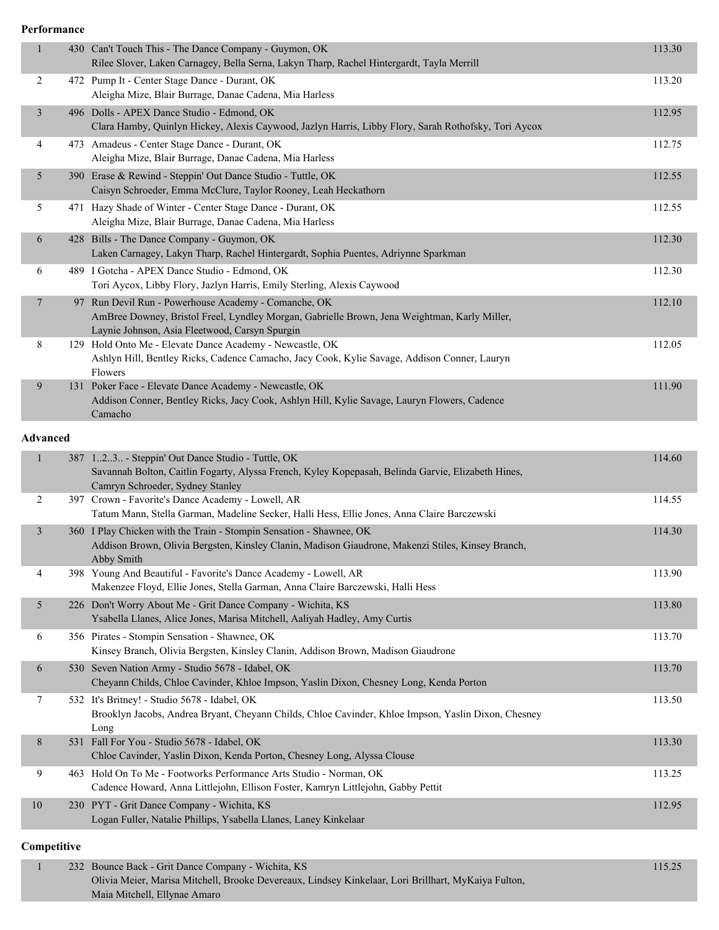**Performance**

| $\mathbf{1}$   |                 | 430 Can't Touch This - The Dance Company - Guymon, OK<br>Rilee Slover, Laken Carnagey, Bella Serna, Lakyn Tharp, Rachel Hintergardt, Tayla Merrill                                                     | 113.30 |
|----------------|-----------------|--------------------------------------------------------------------------------------------------------------------------------------------------------------------------------------------------------|--------|
| 2              |                 | 472 Pump It - Center Stage Dance - Durant, OK<br>Aleigha Mize, Blair Burrage, Danae Cadena, Mia Harless                                                                                                | 113.20 |
| $\overline{3}$ |                 | 496 Dolls - APEX Dance Studio - Edmond, OK<br>Clara Hamby, Quinlyn Hickey, Alexis Caywood, Jazlyn Harris, Libby Flory, Sarah Rothofsky, Tori Aycox                                                     | 112.95 |
| 4              |                 | 473 Amadeus - Center Stage Dance - Durant, OK<br>Aleigha Mize, Blair Burrage, Danae Cadena, Mia Harless                                                                                                | 112.75 |
| 5              |                 | 390 Erase & Rewind - Steppin' Out Dance Studio - Tuttle, OK<br>Caisyn Schroeder, Emma McClure, Taylor Rooney, Leah Heckathorn                                                                          | 112.55 |
| 5              |                 | 471 Hazy Shade of Winter - Center Stage Dance - Durant, OK<br>Aleigha Mize, Blair Burrage, Danae Cadena, Mia Harless                                                                                   | 112.55 |
| 6              |                 | 428 Bills - The Dance Company - Guymon, OK<br>Laken Carnagey, Lakyn Tharp, Rachel Hintergardt, Sophia Puentes, Adriynne Sparkman                                                                       | 112.30 |
| 6              |                 | 489 I Gotcha - APEX Dance Studio - Edmond, OK<br>Tori Aycox, Libby Flory, Jazlyn Harris, Emily Sterling, Alexis Caywood                                                                                | 112.30 |
| $\overline{7}$ |                 | 97 Run Devil Run - Powerhouse Academy - Comanche, OK<br>AmBree Downey, Bristol Freel, Lyndley Morgan, Gabrielle Brown, Jena Weightman, Karly Miller,<br>Laynie Johnson, Asia Fleetwood, Carsyn Spurgin | 112.10 |
| 8              |                 | 129 Hold Onto Me - Elevate Dance Academy - Newcastle, OK<br>Ashlyn Hill, Bentley Ricks, Cadence Camacho, Jacy Cook, Kylie Savage, Addison Conner, Lauryn<br>Flowers                                    | 112.05 |
| 9              |                 | 131 Poker Face - Elevate Dance Academy - Newcastle, OK<br>Addison Conner, Bentley Ricks, Jacy Cook, Ashlyn Hill, Kylie Savage, Lauryn Flowers, Cadence<br>Camacho                                      | 111.90 |
|                | <b>Advanced</b> |                                                                                                                                                                                                        |        |
| $\mathbf{1}$   |                 | 387 123. - Steppin' Out Dance Studio - Tuttle, OK<br>Savannah Bolton, Caitlin Fogarty, Alyssa French, Kyley Kopepasah, Belinda Garvie, Elizabeth Hines,<br>Camryn Schroeder, Sydney Stanley            | 114.60 |
| 2              |                 | 397 Crown - Favorite's Dance Academy - Lowell, AR<br>Tatum Mann, Stella Garman, Madeline Secker, Halli Hess, Ellie Jones, Anna Claire Barczewski                                                       | 114.55 |
| 3              |                 | 360 I Play Chicken with the Train - Stompin Sensation - Shawnee, OK<br>Addison Brown, Olivia Bergsten, Kinsley Clanin, Madison Giaudrone, Makenzi Stiles, Kinsey Branch,<br>Abby Smith                 | 114.30 |
| 4              |                 | 398 Young And Beautiful - Favorite's Dance Academy - Lowell, AR<br>Makenzee Floyd, Ellie Jones, Stella Garman, Anna Claire Barczewski, Halli Hess                                                      | 113.90 |
| 5              |                 | 226 Don't Worry About Me - Grit Dance Company - Wichita, KS<br>Ysabella Llanes, Alice Jones, Marisa Mitchell, Aaliyah Hadley, Amy Curtis                                                               | 113.80 |
| 6              |                 | 356 Pirates - Stompin Sensation - Shawnee, OK<br>Kinsey Branch, Olivia Bergsten, Kinsley Clanin, Addison Brown, Madison Giaudrone                                                                      | 113.70 |
| 6              |                 | 530 Seven Nation Army - Studio 5678 - Idabel, OK<br>Cheyann Childs, Chloe Cavinder, Khloe Impson, Yaslin Dixon, Chesney Long, Kenda Porton                                                             | 113.70 |
| 7              |                 | 532 It's Britney! - Studio 5678 - Idabel, OK<br>Brooklyn Jacobs, Andrea Bryant, Cheyann Childs, Chloe Cavinder, Khloe Impson, Yaslin Dixon, Chesney<br>Long                                            | 113.50 |
| 8              |                 | 531 Fall For You - Studio 5678 - Idabel, OK<br>Chloe Cavinder, Yaslin Dixon, Kenda Porton, Chesney Long, Alyssa Clouse                                                                                 | 113.30 |
| 9              |                 | 463 Hold On To Me - Footworks Performance Arts Studio - Norman, OK<br>Cadence Howard, Anna Littlejohn, Ellison Foster, Kamryn Littlejohn, Gabby Pettit                                                 | 113.25 |
| $10\,$         |                 | 230 PYT - Grit Dance Company - Wichita, KS<br>Logan Fuller, Natalie Phillips, Ysabella Llanes, Laney Kinkelaar                                                                                         | 112.95 |
|                |                 |                                                                                                                                                                                                        |        |

### **Competitive**

|  | 232 Bounce Back - Grit Dance Company - Wichita, KS                                                  | 15.25 |
|--|-----------------------------------------------------------------------------------------------------|-------|
|  | Olivia Meier, Marisa Mitchell, Brooke Devereaux, Lindsey Kinkelaar, Lori Brillhart, MyKaiya Fulton, |       |
|  | Maia Mitchell, Ellynae Amaro                                                                        |       |
|  |                                                                                                     |       |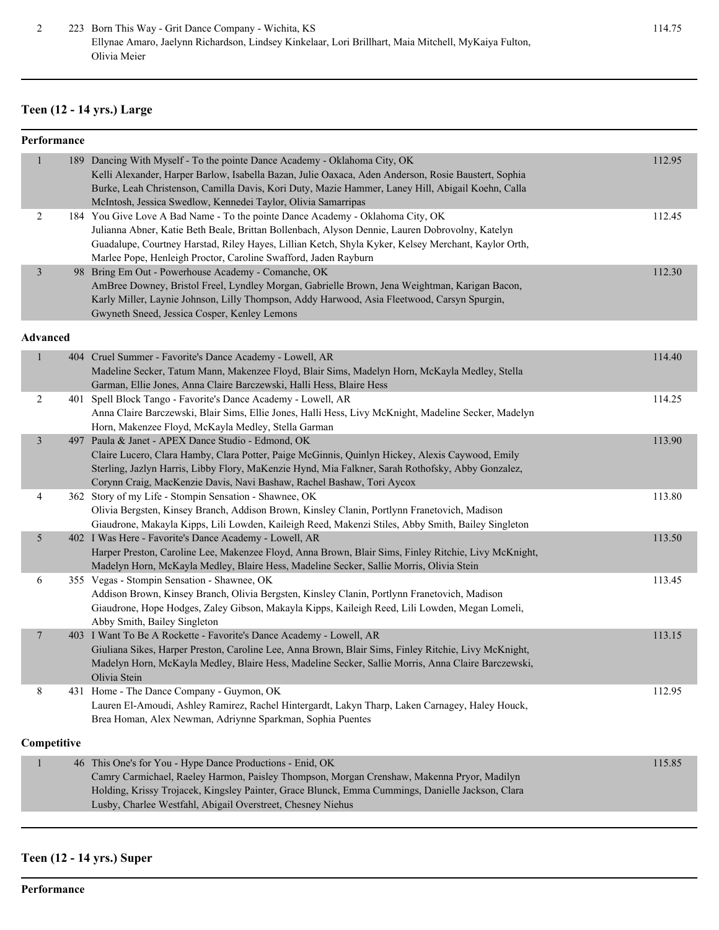### **Teen (12 - 14 yrs.) Large**

|                 | Performance |                                                                                                                                                                                                        |        |
|-----------------|-------------|--------------------------------------------------------------------------------------------------------------------------------------------------------------------------------------------------------|--------|
| 1               |             | 189 Dancing With Myself - To the pointe Dance Academy - Oklahoma City, OK                                                                                                                              | 112.95 |
|                 |             | Kelli Alexander, Harper Barlow, Isabella Bazan, Julie Oaxaca, Aden Anderson, Rosie Baustert, Sophia                                                                                                    |        |
|                 |             | Burke, Leah Christenson, Camilla Davis, Kori Duty, Mazie Hammer, Laney Hill, Abigail Koehn, Calla                                                                                                      |        |
|                 |             | McIntosh, Jessica Swedlow, Kennedei Taylor, Olivia Samarripas                                                                                                                                          |        |
| $\overline{2}$  |             | 184 You Give Love A Bad Name - To the pointe Dance Academy - Oklahoma City, OK                                                                                                                         | 112.45 |
|                 |             | Julianna Abner, Katie Beth Beale, Brittan Bollenbach, Alyson Dennie, Lauren Dobrovolny, Katelyn<br>Guadalupe, Courtney Harstad, Riley Hayes, Lillian Ketch, Shyla Kyker, Kelsey Merchant, Kaylor Orth, |        |
|                 |             | Marlee Pope, Henleigh Proctor, Caroline Swafford, Jaden Rayburn                                                                                                                                        |        |
| 3               |             | 98 Bring Em Out - Powerhouse Academy - Comanche, OK                                                                                                                                                    | 112.30 |
|                 |             | AmBree Downey, Bristol Freel, Lyndley Morgan, Gabrielle Brown, Jena Weightman, Karigan Bacon,                                                                                                          |        |
|                 |             | Karly Miller, Laynie Johnson, Lilly Thompson, Addy Harwood, Asia Fleetwood, Carsyn Spurgin,                                                                                                            |        |
|                 |             | Gwyneth Sneed, Jessica Cosper, Kenley Lemons                                                                                                                                                           |        |
|                 |             |                                                                                                                                                                                                        |        |
| <b>Advanced</b> |             |                                                                                                                                                                                                        |        |
| $\mathbf{1}$    |             | 404 Cruel Summer - Favorite's Dance Academy - Lowell, AR                                                                                                                                               | 114.40 |
|                 |             | Madeline Secker, Tatum Mann, Makenzee Floyd, Blair Sims, Madelyn Horn, McKayla Medley, Stella                                                                                                          |        |
|                 |             | Garman, Ellie Jones, Anna Claire Barczewski, Halli Hess, Blaire Hess                                                                                                                                   |        |
| 2               |             | 401 Spell Block Tango - Favorite's Dance Academy - Lowell, AR                                                                                                                                          | 114.25 |
|                 |             | Anna Claire Barczewski, Blair Sims, Ellie Jones, Halli Hess, Livy McKnight, Madeline Secker, Madelyn                                                                                                   |        |
|                 |             | Horn, Makenzee Floyd, McKayla Medley, Stella Garman                                                                                                                                                    |        |
| 3               |             | 497 Paula & Janet - APEX Dance Studio - Edmond, OK                                                                                                                                                     | 113.90 |
|                 |             | Claire Lucero, Clara Hamby, Clara Potter, Paige McGinnis, Quinlyn Hickey, Alexis Caywood, Emily                                                                                                        |        |
|                 |             | Sterling, Jazlyn Harris, Libby Flory, MaKenzie Hynd, Mia Falkner, Sarah Rothofsky, Abby Gonzalez,                                                                                                      |        |
| 4               |             | Corynn Craig, MacKenzie Davis, Navi Bashaw, Rachel Bashaw, Tori Aycox<br>362 Story of my Life - Stompin Sensation - Shawnee, OK                                                                        | 113.80 |
|                 |             | Olivia Bergsten, Kinsey Branch, Addison Brown, Kinsley Clanin, Portlynn Franetovich, Madison                                                                                                           |        |
|                 |             | Giaudrone, Makayla Kipps, Lili Lowden, Kaileigh Reed, Makenzi Stiles, Abby Smith, Bailey Singleton                                                                                                     |        |
| 5               |             | 402 I Was Here - Favorite's Dance Academy - Lowell, AR                                                                                                                                                 | 113.50 |
|                 |             | Harper Preston, Caroline Lee, Makenzee Floyd, Anna Brown, Blair Sims, Finley Ritchie, Livy McKnight,                                                                                                   |        |
|                 |             | Madelyn Horn, McKayla Medley, Blaire Hess, Madeline Secker, Sallie Morris, Olivia Stein                                                                                                                |        |
| 6               |             | 355 Vegas - Stompin Sensation - Shawnee, OK                                                                                                                                                            | 113.45 |
|                 |             | Addison Brown, Kinsey Branch, Olivia Bergsten, Kinsley Clanin, Portlynn Franetovich, Madison                                                                                                           |        |
|                 |             | Giaudrone, Hope Hodges, Zaley Gibson, Makayla Kipps, Kaileigh Reed, Lili Lowden, Megan Lomeli,                                                                                                         |        |
|                 |             | Abby Smith, Bailey Singleton                                                                                                                                                                           |        |
| 7               |             | 403 I Want To Be A Rockette - Favorite's Dance Academy - Lowell, AR                                                                                                                                    | 113.15 |
|                 |             | Giuliana Sikes, Harper Preston, Caroline Lee, Anna Brown, Blair Sims, Finley Ritchie, Livy McKnight,                                                                                                   |        |
|                 |             | Madelyn Horn, McKayla Medley, Blaire Hess, Madeline Secker, Sallie Morris, Anna Claire Barczewski,                                                                                                     |        |
| 8               |             | Olivia Stein<br>431 Home - The Dance Company - Guymon, OK                                                                                                                                              | 112.95 |
|                 |             | Lauren El-Amoudi, Ashley Ramirez, Rachel Hintergardt, Lakyn Tharp, Laken Carnagey, Haley Houck,                                                                                                        |        |
|                 |             | Brea Homan, Alex Newman, Adriynne Sparkman, Sophia Puentes                                                                                                                                             |        |
|                 |             |                                                                                                                                                                                                        |        |
|                 | Competitive |                                                                                                                                                                                                        |        |
| 1               |             | 46 This One's for You - Hype Dance Productions - Enid, OK                                                                                                                                              | 115.85 |
|                 |             | Camry Carmichael, Raeley Harmon, Paisley Thompson, Morgan Crenshaw, Makenna Pryor, Madilyn                                                                                                             |        |
|                 |             | Holding, Krissy Trojacek, Kingsley Painter, Grace Blunck, Emma Cummings, Danielle Jackson, Clara                                                                                                       |        |
|                 |             | Lusby, Charlee Westfahl, Abigail Overstreet, Chesney Niehus                                                                                                                                            |        |
|                 |             |                                                                                                                                                                                                        |        |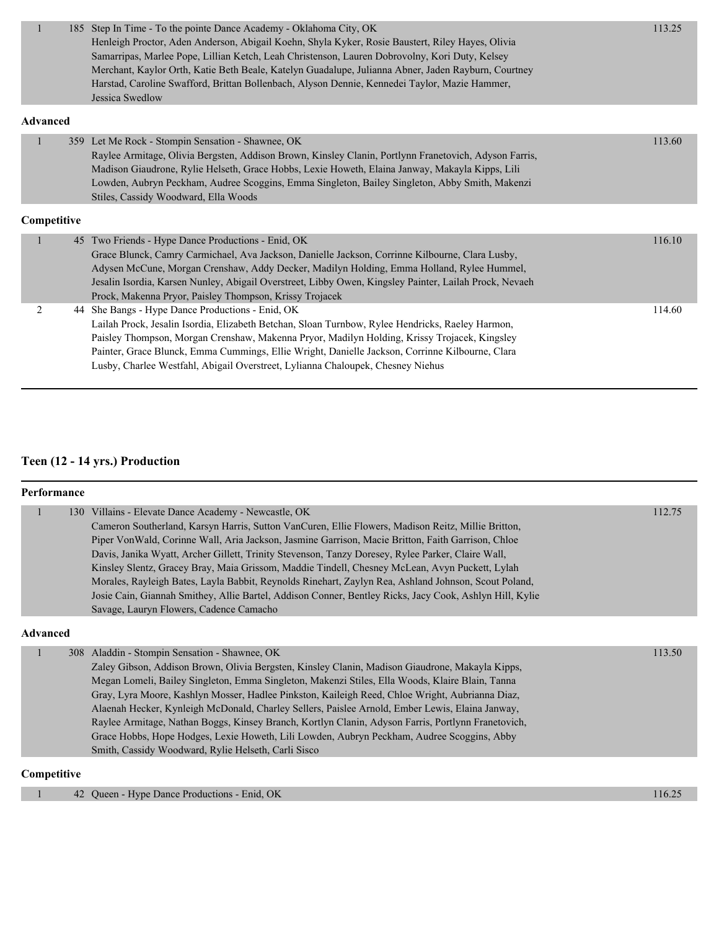| $\mathbf{1}$    |    | 185 Step In Time - To the pointe Dance Academy - Oklahoma City, OK<br>Henleigh Proctor, Aden Anderson, Abigail Koehn, Shyla Kyker, Rosie Baustert, Riley Hayes, Olivia<br>Samarripas, Marlee Pope, Lillian Ketch, Leah Christenson, Lauren Dobrovolny, Kori Duty, Kelsey<br>Merchant, Kaylor Orth, Katie Beth Beale, Katelyn Guadalupe, Julianna Abner, Jaden Rayburn, Courtney<br>Harstad, Caroline Swafford, Brittan Bollenbach, Alyson Dennie, Kennedei Taylor, Mazie Hammer,<br>Jessica Swedlow | 113.25 |
|-----------------|----|-----------------------------------------------------------------------------------------------------------------------------------------------------------------------------------------------------------------------------------------------------------------------------------------------------------------------------------------------------------------------------------------------------------------------------------------------------------------------------------------------------|--------|
| <b>Advanced</b> |    |                                                                                                                                                                                                                                                                                                                                                                                                                                                                                                     |        |
| $\mathbf{1}$    |    | 359 Let Me Rock - Stompin Sensation - Shawnee, OK<br>Raylee Armitage, Olivia Bergsten, Addison Brown, Kinsley Clanin, Portlynn Franetovich, Adyson Farris,<br>Madison Giaudrone, Rylie Helseth, Grace Hobbs, Lexie Howeth, Elaina Janway, Makayla Kipps, Lili<br>Lowden, Aubryn Peckham, Audree Scoggins, Emma Singleton, Bailey Singleton, Abby Smith, Makenzi<br>Stiles, Cassidy Woodward, Ella Woods                                                                                             | 113.60 |
| Competitive     |    |                                                                                                                                                                                                                                                                                                                                                                                                                                                                                                     |        |
| 1               | 45 | Two Friends - Hype Dance Productions - Enid, OK<br>Grace Blunck, Camry Carmichael, Ava Jackson, Danielle Jackson, Corrinne Kilbourne, Clara Lusby,<br>Adysen McCune, Morgan Crenshaw, Addy Decker, Madilyn Holding, Emma Holland, Rylee Hummel,<br>Jesalin Isordia, Karsen Nunley, Abigail Overstreet, Libby Owen, Kingsley Painter, Lailah Prock, Nevaeh<br>Prock, Makenna Pryor, Paisley Thompson, Krissy Trojacek                                                                                | 116.10 |
| $\overline{2}$  |    | 44 She Bangs - Hype Dance Productions - Enid, OK<br>Lailah Prock, Jesalin Isordia, Elizabeth Betchan, Sloan Turnbow, Rylee Hendricks, Raeley Harmon,<br>Paisley Thompson, Morgan Crenshaw, Makenna Pryor, Madilyn Holding, Krissy Trojacek, Kingsley<br>Painter, Grace Blunck, Emma Cummings, Ellie Wright, Danielle Jackson, Corrinne Kilbourne, Clara<br>Lusby, Charlee Westfahl, Abigail Overstreet, Lylianna Chaloupek, Chesney Niehus                                                          | 114.60 |

## **Teen (12 - 14 yrs.) Production**

#### **Performance**

|                 | 130 Villains - Elevate Dance Academy - Newcastle, OK<br>Cameron Southerland, Karsyn Harris, Sutton VanCuren, Ellie Flowers, Madison Reitz, Millie Britton,<br>Piper VonWald, Corinne Wall, Aria Jackson, Jasmine Garrison, Macie Britton, Faith Garrison, Chloe<br>Davis, Janika Wyatt, Archer Gillett, Trinity Stevenson, Tanzy Doresey, Rylee Parker, Claire Wall,<br>Kinsley Slentz, Gracey Bray, Maia Grissom, Maddie Tindell, Chesney McLean, Avyn Puckett, Lylah<br>Morales, Rayleigh Bates, Layla Babbit, Reynolds Rinehart, Zaylyn Rea, Ashland Johnson, Scout Poland,                                                                                                                                       | 112.75 |
|-----------------|----------------------------------------------------------------------------------------------------------------------------------------------------------------------------------------------------------------------------------------------------------------------------------------------------------------------------------------------------------------------------------------------------------------------------------------------------------------------------------------------------------------------------------------------------------------------------------------------------------------------------------------------------------------------------------------------------------------------|--------|
|                 | Josie Cain, Giannah Smithey, Allie Bartel, Addison Conner, Bentley Ricks, Jacy Cook, Ashlyn Hill, Kylie<br>Savage, Lauryn Flowers, Cadence Camacho                                                                                                                                                                                                                                                                                                                                                                                                                                                                                                                                                                   |        |
| <b>Advanced</b> |                                                                                                                                                                                                                                                                                                                                                                                                                                                                                                                                                                                                                                                                                                                      |        |
|                 | 308 Aladdin - Stompin Sensation - Shawnee, OK<br>Zaley Gibson, Addison Brown, Olivia Bergsten, Kinsley Clanin, Madison Giaudrone, Makayla Kipps,<br>Megan Lomeli, Bailey Singleton, Emma Singleton, Makenzi Stiles, Ella Woods, Klaire Blain, Tanna<br>Gray, Lyra Moore, Kashlyn Mosser, Hadlee Pinkston, Kaileigh Reed, Chloe Wright, Aubrianna Diaz,<br>Alaenah Hecker, Kynleigh McDonald, Charley Sellers, Paislee Arnold, Ember Lewis, Elaina Janway,<br>Raylee Armitage, Nathan Boggs, Kinsey Branch, Kortlyn Clanin, Adyson Farris, Portlynn Franetovich,<br>Grace Hobbs, Hope Hodges, Lexie Howeth, Lili Lowden, Aubryn Peckham, Audree Scoggins, Abby<br>Smith, Cassidy Woodward, Rylie Helseth, Carli Sisco | 113.50 |

### **Competitive**

| Hype Dance Productions - Enid, OK<br>42<br>Oueen - |
|----------------------------------------------------|
|----------------------------------------------------|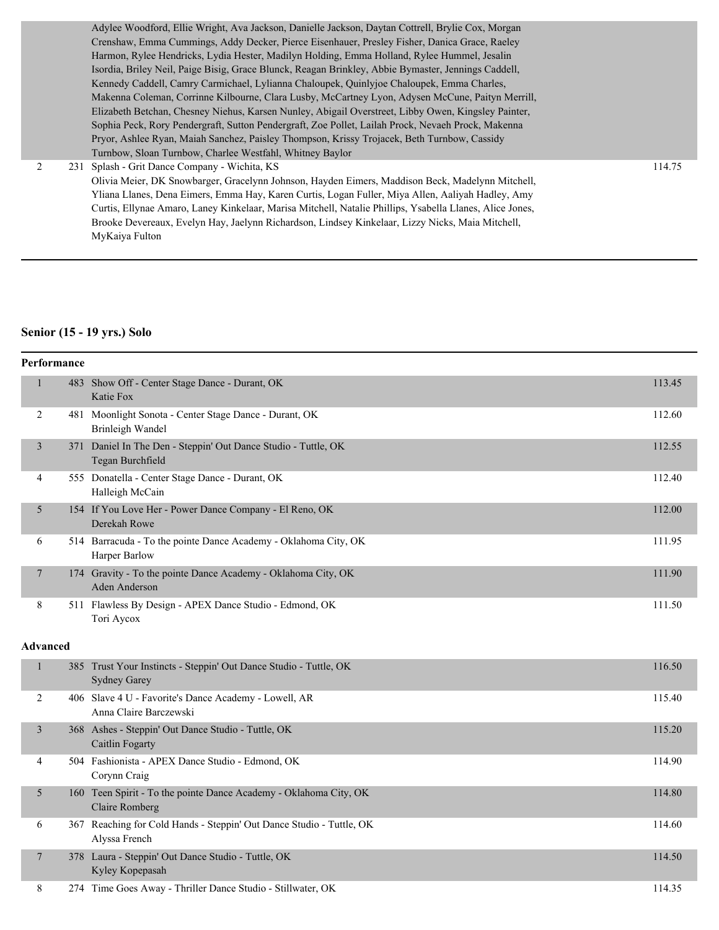Adylee Woodford, Ellie Wright, Ava Jackson, Danielle Jackson, Daytan Cottrell, Brylie Cox, Morgan Crenshaw, Emma Cummings, Addy Decker, Pierce Eisenhauer, Presley Fisher, Danica Grace, Raeley Harmon, Rylee Hendricks, Lydia Hester, Madilyn Holding, Emma Holland, Rylee Hummel, Jesalin Isordia, Briley Neil, Paige Bisig, Grace Blunck, Reagan Brinkley, Abbie Bymaster, Jennings Caddell, Kennedy Caddell, Camry Carmichael, Lylianna Chaloupek, Quinlyjoe Chaloupek, Emma Charles, Makenna Coleman, Corrinne Kilbourne, Clara Lusby, McCartney Lyon, Adysen McCune, Paityn Merrill, Elizabeth Betchan, Chesney Niehus, Karsen Nunley, Abigail Overstreet, Libby Owen, Kingsley Painter, Sophia Peck, Rory Pendergraft, Sutton Pendergraft, Zoe Pollet, Lailah Prock, Nevaeh Prock, Makenna Pryor, Ashlee Ryan, Maiah Sanchez, Paisley Thompson, Krissy Trojacek, Beth Turnbow, Cassidy Turnbow, Sloan Turnbow, Charlee Westfahl, Whitney Baylor 2 231 Splash - Grit Dance Company - Wichita, KS 114.75 Olivia Meier, DK Snowbarger, Gracelynn Johnson, Hayden Eimers, Maddison Beck, Madelynn Mitchell, Yliana Llanes, Dena Eimers, Emma Hay, Karen Curtis, Logan Fuller, Miya Allen, Aaliyah Hadley, Amy Curtis, Ellynae Amaro, Laney Kinkelaar, Marisa Mitchell, Natalie Phillips, Ysabella Llanes, Alice Jones, Brooke Devereaux, Evelyn Hay, Jaelynn Richardson, Lindsey Kinkelaar, Lizzy Nicks, Maia Mitchell,

MyKaiya Fulton

#### **Senior (15 - 19 yrs.) Solo**

|                 | Performance |                                                                                          |        |
|-----------------|-------------|------------------------------------------------------------------------------------------|--------|
| $\mathbf{1}$    |             | 483 Show Off - Center Stage Dance - Durant, OK<br>Katie Fox                              | 113.45 |
| 2               |             | 481 Moonlight Sonota - Center Stage Dance - Durant, OK<br>Brinleigh Wandel               | 112.60 |
| 3               |             | 371 Daniel In The Den - Steppin' Out Dance Studio - Tuttle, OK<br>Tegan Burchfield       | 112.55 |
| 4               |             | 555 Donatella - Center Stage Dance - Durant, OK<br>Halleigh McCain                       | 112.40 |
| 5               |             | 154 If You Love Her - Power Dance Company - El Reno, OK<br>Derekah Rowe                  | 112.00 |
| 6               |             | 514 Barracuda - To the pointe Dance Academy - Oklahoma City, OK<br>Harper Barlow         | 111.95 |
| 7               |             | 174 Gravity - To the pointe Dance Academy - Oklahoma City, OK<br><b>Aden Anderson</b>    | 111.90 |
| 8               |             | 511 Flawless By Design - APEX Dance Studio - Edmond, OK<br>Tori Aycox                    | 111.50 |
|                 |             |                                                                                          |        |
| <b>Advanced</b> |             |                                                                                          |        |
| $\mathbf{1}$    |             | 385 Trust Your Instincts - Steppin' Out Dance Studio - Tuttle, OK<br><b>Sydney Garey</b> | 116.50 |
| 2               |             | 406 Slave 4 U - Favorite's Dance Academy - Lowell, AR<br>Anna Claire Barczewski          | 115.40 |
| 3               |             | 368 Ashes - Steppin' Out Dance Studio - Tuttle, OK<br>Caitlin Fogarty                    | 115.20 |
| 4               |             | 504 Fashionista - APEX Dance Studio - Edmond, OK<br>Corynn Craig                         | 114.90 |
| 5               |             | 160 Teen Spirit - To the pointe Dance Academy - Oklahoma City, OK<br>Claire Romberg      | 114.80 |
| 6               |             | 367 Reaching for Cold Hands - Steppin' Out Dance Studio - Tuttle, OK<br>Alyssa French    | 114.60 |
| 7               |             | 378 Laura - Steppin' Out Dance Studio - Tuttle, OK<br>Kyley Kopepasah                    | 114.50 |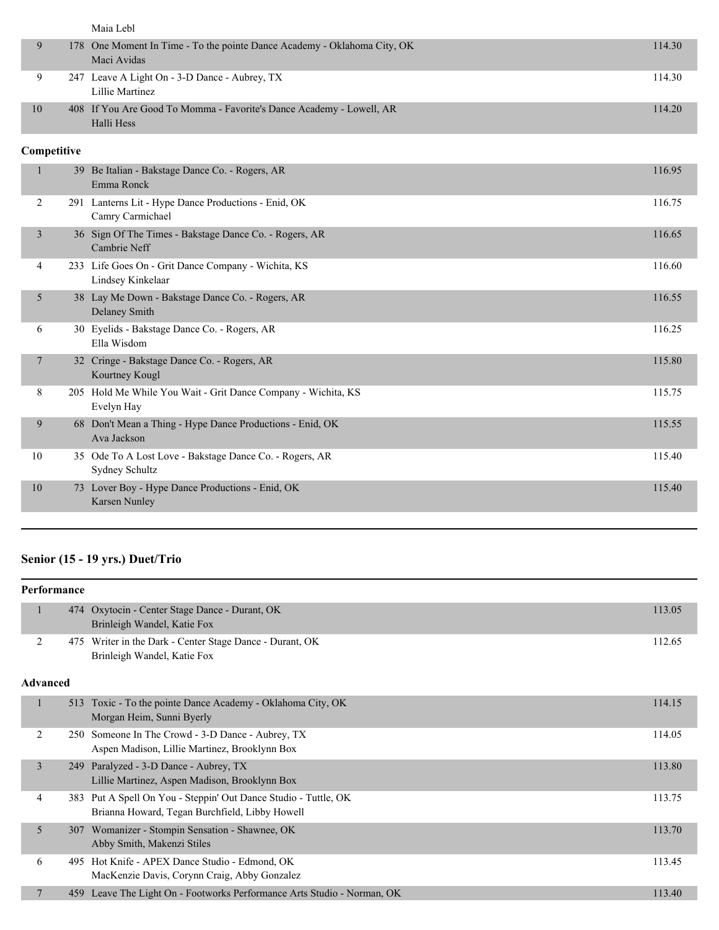|                |             | Maia Lebl                                                                               |        |
|----------------|-------------|-----------------------------------------------------------------------------------------|--------|
| 9              |             | 178 One Moment In Time - To the pointe Dance Academy - Oklahoma City, OK<br>Maci Avidas | 114.30 |
| 9              |             | 247 Leave A Light On - 3-D Dance - Aubrey, TX<br>Lillie Martinez                        | 114.30 |
| 10             |             | 408 If You Are Good To Momma - Favorite's Dance Academy - Lowell, AR<br>Halli Hess      | 114.20 |
|                | Competitive |                                                                                         |        |
| $\mathbf{1}$   |             | 39 Be Italian - Bakstage Dance Co. - Rogers, AR<br>Emma Ronck                           | 116.95 |
| $\overline{2}$ |             | 291 Lanterns Lit - Hype Dance Productions - Enid, OK<br>Camry Carmichael                | 116.75 |
| $\mathfrak{Z}$ |             | 36 Sign Of The Times - Bakstage Dance Co. - Rogers, AR<br>Cambrie Neff                  | 116.65 |
| 4              |             | 233 Life Goes On - Grit Dance Company - Wichita, KS<br>Lindsey Kinkelaar                | 116.60 |
| 5              |             | 38 Lay Me Down - Bakstage Dance Co. - Rogers, AR<br><b>Delaney Smith</b>                | 116.55 |
| 6              |             | 30 Eyelids - Bakstage Dance Co. - Rogers, AR<br>Ella Wisdom                             | 116.25 |
| 7              |             | 32 Cringe - Bakstage Dance Co. - Rogers, AR<br>Kourtney Kougl                           | 115.80 |
| 8              |             | 205 Hold Me While You Wait - Grit Dance Company - Wichita, KS<br>Evelyn Hay             | 115.75 |
| 9              |             | 68 Don't Mean a Thing - Hype Dance Productions - Enid, OK<br>Ava Jackson                | 115.55 |
| 10             |             | 35 Ode To A Lost Love - Bakstage Dance Co. - Rogers, AR<br>Sydney Schultz               | 115.40 |
| 10             |             | 73 Lover Boy - Hype Dance Productions - Enid, OK<br>Karsen Nunley                       | 115.40 |

# **Senior (15 - 19 yrs.) Duet/Trio**

|                 | Performance |                                                                                                                   |        |
|-----------------|-------------|-------------------------------------------------------------------------------------------------------------------|--------|
| 1               |             | 474 Oxytocin - Center Stage Dance - Durant, OK<br>Brinleigh Wandel, Katie Fox                                     | 113.05 |
| 2               | 475         | Writer in the Dark - Center Stage Dance - Durant, OK<br>Brinleigh Wandel, Katie Fox                               | 112.65 |
| <b>Advanced</b> |             |                                                                                                                   |        |
| $\mathbf{1}$    | 513         | Toxic - To the pointe Dance Academy - Oklahoma City, OK<br>Morgan Heim, Sunni Byerly                              | 114.15 |
| 2               | 250         | Someone In The Crowd - 3-D Dance - Aubrey, TX<br>Aspen Madison, Lillie Martinez, Brooklynn Box                    | 114.05 |
| $\overline{3}$  |             | 249 Paralyzed - 3-D Dance - Aubrey, TX<br>Lillie Martinez, Aspen Madison, Brooklynn Box                           | 113.80 |
| 4               |             | 383 Put A Spell On You - Steppin' Out Dance Studio - Tuttle, OK<br>Brianna Howard, Tegan Burchfield, Libby Howell | 113.75 |
| 5               | 307         | Womanizer - Stompin Sensation - Shawnee, OK<br>Abby Smith, Makenzi Stiles                                         | 113.70 |
| 6               | 495         | Hot Knife - APEX Dance Studio - Edmond, OK<br>MacKenzie Davis, Corynn Craig, Abby Gonzalez                        | 113.45 |
| 7               |             | 459 Leave The Light On - Footworks Performance Arts Studio - Norman, OK                                           | 113.40 |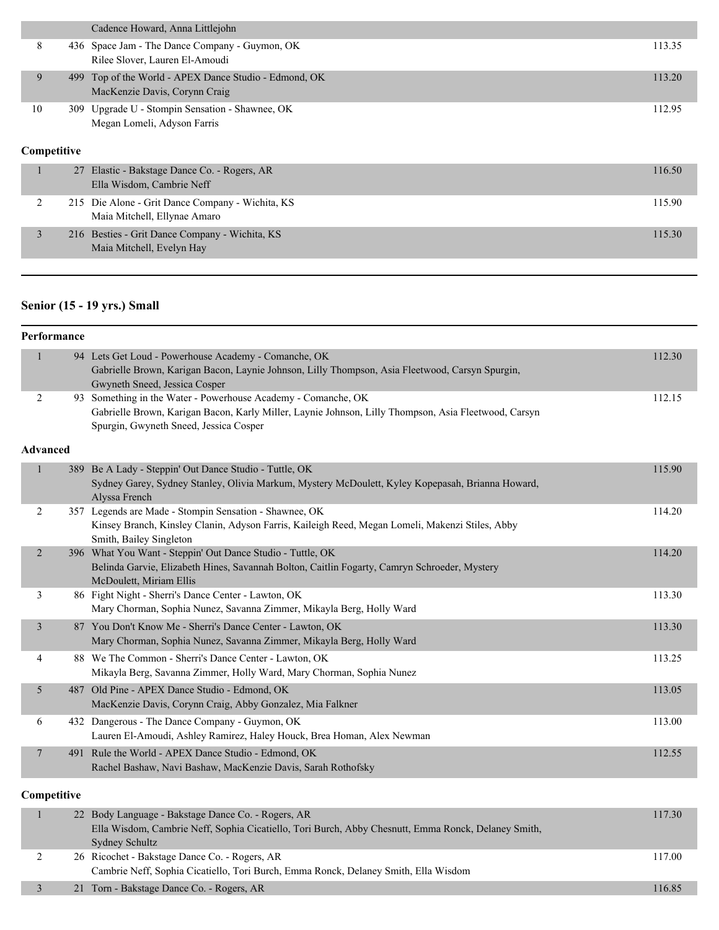|    |             | Cadence Howard, Anna Littlejohn                                                    |        |
|----|-------------|------------------------------------------------------------------------------------|--------|
| 8  |             | 436 Space Jam - The Dance Company - Guymon, OK<br>Rilee Slover, Lauren El-Amoudi   | 113.35 |
| 9  | 499         | Top of the World - APEX Dance Studio - Edmond, OK<br>MacKenzie Davis, Corynn Craig | 113.20 |
| 10 |             | 309 Upgrade U - Stompin Sensation - Shawnee, OK<br>Megan Lomeli, Adyson Farris     | 112.95 |
|    |             |                                                                                    |        |
|    | Competitive |                                                                                    |        |
|    |             | 27 Elastic - Bakstage Dance Co. - Rogers, AR<br>Ella Wisdom, Cambrie Neff          | 116.50 |
| 2  |             | 215 Die Alone - Grit Dance Company - Wichita, KS<br>Maia Mitchell, Ellynae Amaro   | 115.90 |

# **Senior (15 - 19 yrs.) Small**

|                 | Performance |                                                                                                                                                                                                                 |        |
|-----------------|-------------|-----------------------------------------------------------------------------------------------------------------------------------------------------------------------------------------------------------------|--------|
| 1               |             | 94 Lets Get Loud - Powerhouse Academy - Comanche, OK<br>Gabrielle Brown, Karigan Bacon, Laynie Johnson, Lilly Thompson, Asia Fleetwood, Carsyn Spurgin,<br>Gwyneth Sneed, Jessica Cosper                        | 112.30 |
| $\overline{2}$  |             | 93 Something in the Water - Powerhouse Academy - Comanche, OK<br>Gabrielle Brown, Karigan Bacon, Karly Miller, Laynie Johnson, Lilly Thompson, Asia Fleetwood, Carsyn<br>Spurgin, Gwyneth Sneed, Jessica Cosper | 112.15 |
| <b>Advanced</b> |             |                                                                                                                                                                                                                 |        |
| $\mathbf{1}$    |             | 389 Be A Lady - Steppin' Out Dance Studio - Tuttle, OK<br>Sydney Garey, Sydney Stanley, Olivia Markum, Mystery McDoulett, Kyley Kopepasah, Brianna Howard,<br>Alyssa French                                     | 115.90 |
| 2               |             | 357 Legends are Made - Stompin Sensation - Shawnee, OK<br>Kinsey Branch, Kinsley Clanin, Adyson Farris, Kaileigh Reed, Megan Lomeli, Makenzi Stiles, Abby<br>Smith, Bailey Singleton                            | 114.20 |
| $\overline{2}$  |             | 396 What You Want - Steppin' Out Dance Studio - Tuttle, OK<br>Belinda Garvie, Elizabeth Hines, Savannah Bolton, Caitlin Fogarty, Camryn Schroeder, Mystery<br>McDoulett, Miriam Ellis                           | 114.20 |
| 3               |             | 86 Fight Night - Sherri's Dance Center - Lawton, OK<br>Mary Chorman, Sophia Nunez, Savanna Zimmer, Mikayla Berg, Holly Ward                                                                                     | 113.30 |
| 3               |             | 87 You Don't Know Me - Sherri's Dance Center - Lawton, OK<br>Mary Chorman, Sophia Nunez, Savanna Zimmer, Mikayla Berg, Holly Ward                                                                               | 113.30 |
| 4               |             | 88 We The Common - Sherri's Dance Center - Lawton, OK<br>Mikayla Berg, Savanna Zimmer, Holly Ward, Mary Chorman, Sophia Nunez                                                                                   | 113.25 |
| 5               |             | 487 Old Pine - APEX Dance Studio - Edmond, OK<br>MacKenzie Davis, Corynn Craig, Abby Gonzalez, Mia Falkner                                                                                                      | 113.05 |
| 6               |             | 432 Dangerous - The Dance Company - Guymon, OK<br>Lauren El-Amoudi, Ashley Ramirez, Haley Houck, Brea Homan, Alex Newman                                                                                        | 113.00 |
| $\overline{7}$  |             | 491 Rule the World - APEX Dance Studio - Edmond, OK<br>Rachel Bashaw, Navi Bashaw, MacKenzie Davis, Sarah Rothofsky                                                                                             | 112.55 |
| Competitive     |             |                                                                                                                                                                                                                 |        |
| $\mathbf{1}$    |             | 22 Body Language - Bakstage Dance Co. - Rogers, AR<br>Ella Wisdom, Cambrie Neff, Sophia Cicatiello, Tori Burch, Abby Chesnutt, Emma Ronck, Delaney Smith,<br><b>Sydney Schultz</b>                              | 117.30 |
| 2               |             | 26 Ricochet - Bakstage Dance Co. - Rogers, AR<br>Cambrie Neff, Sophia Cicatiello, Tori Burch, Emma Ronck, Delaney Smith, Ella Wisdom                                                                            | 117.00 |
| 3               |             | 21 Torn - Bakstage Dance Co. - Rogers, AR                                                                                                                                                                       | 116.85 |